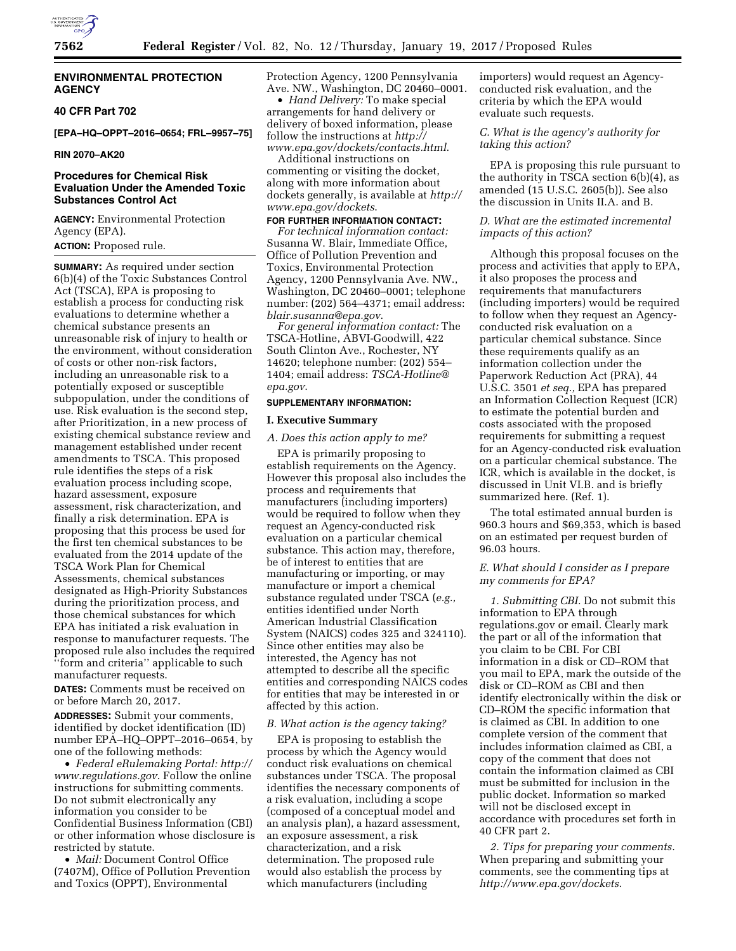

# **ENVIRONMENTAL PROTECTION AGENCY**

#### **40 CFR Part 702**

**[EPA–HQ–OPPT–2016–0654; FRL–9957–75]** 

# **RIN 2070–AK20**

# **Procedures for Chemical Risk Evaluation Under the Amended Toxic Substances Control Act**

**AGENCY:** Environmental Protection Agency (EPA). **ACTION:** Proposed rule.

**SUMMARY:** As required under section 6(b)(4) of the Toxic Substances Control Act (TSCA), EPA is proposing to establish a process for conducting risk evaluations to determine whether a chemical substance presents an unreasonable risk of injury to health or the environment, without consideration of costs or other non-risk factors, including an unreasonable risk to a potentially exposed or susceptible subpopulation, under the conditions of use. Risk evaluation is the second step, after Prioritization, in a new process of existing chemical substance review and management established under recent amendments to TSCA. This proposed rule identifies the steps of a risk evaluation process including scope, hazard assessment, exposure assessment, risk characterization, and finally a risk determination. EPA is proposing that this process be used for the first ten chemical substances to be evaluated from the 2014 update of the TSCA Work Plan for Chemical Assessments, chemical substances designated as High-Priority Substances during the prioritization process, and those chemical substances for which EPA has initiated a risk evaluation in response to manufacturer requests. The proposed rule also includes the required ''form and criteria'' applicable to such manufacturer requests.

**DATES:** Comments must be received on or before March 20, 2017.

**ADDRESSES:** Submit your comments, identified by docket identification (ID) number EPA–HQ–OPPT–2016–0654, by one of the following methods:

• *Federal eRulemaking Portal: [http://](http://www.regulations.gov)  [www.regulations.gov](http://www.regulations.gov)*. Follow the online instructions for submitting comments. Do not submit electronically any information you consider to be Confidential Business Information (CBI) or other information whose disclosure is restricted by statute.

• *Mail:* Document Control Office (7407M), Office of Pollution Prevention and Toxics (OPPT), Environmental

Protection Agency, 1200 Pennsylvania Ave. NW., Washington, DC 20460–0001.

• *Hand Delivery:* To make special arrangements for hand delivery or delivery of boxed information, please follow the instructions at *[http://](http://www.epa.gov/dockets/contacts.html)  [www.epa.gov/dockets/contacts.html](http://www.epa.gov/dockets/contacts.html)*.

Additional instructions on commenting or visiting the docket, along with more information about dockets generally, is available at *[http://](http://www.epa.gov/dockets) [www.epa.gov/dockets](http://www.epa.gov/dockets)*.

# **FOR FURTHER INFORMATION CONTACT:**

*For technical information contact:*  Susanna W. Blair, Immediate Office, Office of Pollution Prevention and Toxics, Environmental Protection Agency, 1200 Pennsylvania Ave. NW., Washington, DC 20460–0001; telephone number: (202) 564–4371; email address: *[blair.susanna@epa.gov](mailto:blair.susanna@epa.gov)*.

*For general information contact:* The TSCA-Hotline, ABVI-Goodwill, 422 South Clinton Ave., Rochester, NY 14620; telephone number: (202) 554– 1404; email address: *[TSCA-Hotline@](mailto:TSCA-Hotline@epa.gov) [epa.gov](mailto:TSCA-Hotline@epa.gov)*.

#### **SUPPLEMENTARY INFORMATION:**

#### **I. Executive Summary**

#### *A. Does this action apply to me?*

EPA is primarily proposing to establish requirements on the Agency. However this proposal also includes the process and requirements that manufacturers (including importers) would be required to follow when they request an Agency-conducted risk evaluation on a particular chemical substance. This action may, therefore, be of interest to entities that are manufacturing or importing, or may manufacture or import a chemical substance regulated under TSCA (*e.g.,*  entities identified under North American Industrial Classification System (NAICS) codes 325 and 324110). Since other entities may also be interested, the Agency has not attempted to describe all the specific entities and corresponding NAICS codes for entities that may be interested in or affected by this action.

#### *B. What action is the agency taking?*

EPA is proposing to establish the process by which the Agency would conduct risk evaluations on chemical substances under TSCA. The proposal identifies the necessary components of a risk evaluation, including a scope (composed of a conceptual model and an analysis plan), a hazard assessment, an exposure assessment, a risk characterization, and a risk determination. The proposed rule would also establish the process by which manufacturers (including

importers) would request an Agencyconducted risk evaluation, and the criteria by which the EPA would evaluate such requests.

# *C. What is the agency's authority for taking this action?*

EPA is proposing this rule pursuant to the authority in TSCA section 6(b)(4), as amended (15 U.S.C. 2605(b)). See also the discussion in Units II.A. and B.

# *D. What are the estimated incremental impacts of this action?*

Although this proposal focuses on the process and activities that apply to EPA, it also proposes the process and requirements that manufacturers (including importers) would be required to follow when they request an Agencyconducted risk evaluation on a particular chemical substance. Since these requirements qualify as an information collection under the Paperwork Reduction Act (PRA), 44 U.S.C. 3501 *et seq.,* EPA has prepared an Information Collection Request (ICR) to estimate the potential burden and costs associated with the proposed requirements for submitting a request for an Agency-conducted risk evaluation on a particular chemical substance. The ICR, which is available in the docket, is discussed in Unit VI.B. and is briefly summarized here. (Ref. 1).

The total estimated annual burden is 960.3 hours and \$69,353, which is based on an estimated per request burden of 96.03 hours.

### *E. What should I consider as I prepare my comments for EPA?*

*1. Submitting CBI.* Do not submit this information to EPA through regulations.gov or email. Clearly mark the part or all of the information that you claim to be CBI. For CBI information in a disk or CD–ROM that you mail to EPA, mark the outside of the disk or CD–ROM as CBI and then identify electronically within the disk or CD–ROM the specific information that is claimed as CBI. In addition to one complete version of the comment that includes information claimed as CBI, a copy of the comment that does not contain the information claimed as CBI must be submitted for inclusion in the public docket. Information so marked will not be disclosed except in accordance with procedures set forth in 40 CFR part 2.

*2. Tips for preparing your comments.*  When preparing and submitting your comments, see the commenting tips at *<http://www.epa.gov/dockets>*.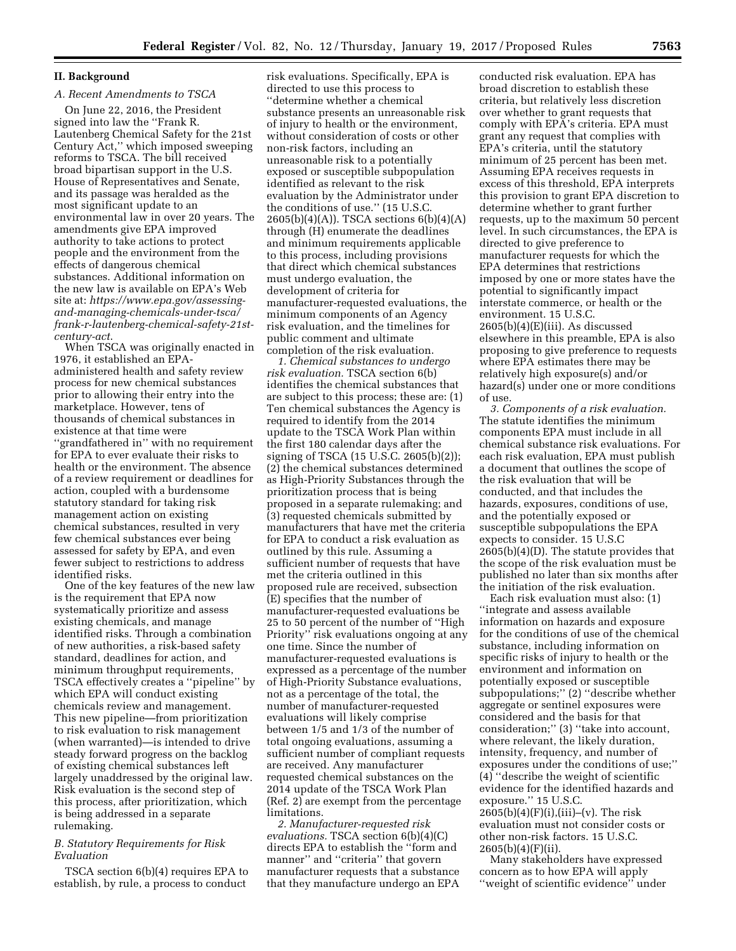# **II. Background**

# *A. Recent Amendments to TSCA*

On June 22, 2016, the President signed into law the ''Frank R. Lautenberg Chemical Safety for the 21st Century Act,'' which imposed sweeping reforms to TSCA. The bill received broad bipartisan support in the U.S. House of Representatives and Senate, and its passage was heralded as the most significant update to an environmental law in over 20 years. The amendments give EPA improved authority to take actions to protect people and the environment from the effects of dangerous chemical substances. Additional information on the new law is available on EPA's Web site at: *[https://www.epa.gov/assessing](https://www.epa.gov/assessing-and-managing-chemicals-under-tsca/frank-r-lautenberg-chemical-safety-21st-century-act)and-managing-chemicals-under-tsca/ [frank-r-lautenberg-chemical-safety-21st](https://www.epa.gov/assessing-and-managing-chemicals-under-tsca/frank-r-lautenberg-chemical-safety-21st-century-act)[century-act](https://www.epa.gov/assessing-and-managing-chemicals-under-tsca/frank-r-lautenberg-chemical-safety-21st-century-act)*.

When TSCA was originally enacted in 1976, it established an EPAadministered health and safety review process for new chemical substances prior to allowing their entry into the marketplace. However, tens of thousands of chemical substances in existence at that time were ''grandfathered in'' with no requirement for EPA to ever evaluate their risks to health or the environment. The absence of a review requirement or deadlines for action, coupled with a burdensome statutory standard for taking risk management action on existing chemical substances, resulted in very few chemical substances ever being assessed for safety by EPA, and even fewer subject to restrictions to address identified risks.

One of the key features of the new law is the requirement that EPA now systematically prioritize and assess existing chemicals, and manage identified risks. Through a combination of new authorities, a risk-based safety standard, deadlines for action, and minimum throughput requirements, TSCA effectively creates a ''pipeline'' by which EPA will conduct existing chemicals review and management. This new pipeline—from prioritization to risk evaluation to risk management (when warranted)—is intended to drive steady forward progress on the backlog of existing chemical substances left largely unaddressed by the original law. Risk evaluation is the second step of this process, after prioritization, which is being addressed in a separate rulemaking.

## *B. Statutory Requirements for Risk Evaluation*

TSCA section 6(b)(4) requires EPA to establish, by rule, a process to conduct

risk evaluations. Specifically, EPA is directed to use this process to ''determine whether a chemical substance presents an unreasonable risk of injury to health or the environment, without consideration of costs or other non-risk factors, including an unreasonable risk to a potentially exposed or susceptible subpopulation identified as relevant to the risk evaluation by the Administrator under the conditions of use.'' (15 U.S.C. 2605(b)(4)(A)). TSCA sections 6(b)(4)(A) through (H) enumerate the deadlines and minimum requirements applicable to this process, including provisions that direct which chemical substances must undergo evaluation, the development of criteria for manufacturer-requested evaluations, the minimum components of an Agency risk evaluation, and the timelines for public comment and ultimate completion of the risk evaluation.

*1. Chemical substances to undergo risk evaluation.* TSCA section 6(b) identifies the chemical substances that are subject to this process; these are: (1) Ten chemical substances the Agency is required to identify from the 2014 update to the TSCA Work Plan within the first 180 calendar days after the signing of TSCA (15 U.S.C. 2605(b)(2)); (2) the chemical substances determined as High-Priority Substances through the prioritization process that is being proposed in a separate rulemaking; and (3) requested chemicals submitted by manufacturers that have met the criteria for EPA to conduct a risk evaluation as outlined by this rule. Assuming a sufficient number of requests that have met the criteria outlined in this proposed rule are received, subsection (E) specifies that the number of manufacturer-requested evaluations be 25 to 50 percent of the number of ''High Priority'' risk evaluations ongoing at any one time. Since the number of manufacturer-requested evaluations is expressed as a percentage of the number of High-Priority Substance evaluations, not as a percentage of the total, the number of manufacturer-requested evaluations will likely comprise between 1/5 and 1/3 of the number of total ongoing evaluations, assuming a sufficient number of compliant requests are received. Any manufacturer requested chemical substances on the 2014 update of the TSCA Work Plan (Ref. 2) are exempt from the percentage limitations.

*2. Manufacturer-requested risk evaluations.* TSCA section 6(b)(4)(C) directs EPA to establish the ''form and manner'' and ''criteria'' that govern manufacturer requests that a substance that they manufacture undergo an EPA

conducted risk evaluation. EPA has broad discretion to establish these criteria, but relatively less discretion over whether to grant requests that comply with EPA's criteria. EPA must grant any request that complies with EPA's criteria, until the statutory minimum of 25 percent has been met. Assuming EPA receives requests in excess of this threshold, EPA interprets this provision to grant EPA discretion to determine whether to grant further requests, up to the maximum 50 percent level. In such circumstances, the EPA is directed to give preference to manufacturer requests for which the EPA determines that restrictions imposed by one or more states have the potential to significantly impact interstate commerce, or health or the environment. 15 U.S.C.  $2605(b)(4)(E)(iii)$ . As discussed elsewhere in this preamble, EPA is also proposing to give preference to requests where EPA estimates there may be relatively high exposure(s) and/or hazard(s) under one or more conditions of use.

*3. Components of a risk evaluation.*  The statute identifies the minimum components EPA must include in all chemical substance risk evaluations. For each risk evaluation, EPA must publish a document that outlines the scope of the risk evaluation that will be conducted, and that includes the hazards, exposures, conditions of use, and the potentially exposed or susceptible subpopulations the EPA expects to consider. 15 U.S.C 2605(b)(4)(D). The statute provides that the scope of the risk evaluation must be published no later than six months after the initiation of the risk evaluation.

Each risk evaluation must also: (1) ''integrate and assess available information on hazards and exposure for the conditions of use of the chemical substance, including information on specific risks of injury to health or the environment and information on potentially exposed or susceptible subpopulations;'' (2) ''describe whether aggregate or sentinel exposures were considered and the basis for that consideration;'' (3) ''take into account, where relevant, the likely duration, intensity, frequency, and number of exposures under the conditions of use;'' (4) ''describe the weight of scientific evidence for the identified hazards and exposure.'' 15 U.S.C. 2605(b)(4)(F)(i),(iii)–(v). The risk evaluation must not consider costs or

other non-risk factors. 15 U.S.C. 2605(b)(4)(F)(ii).

Many stakeholders have expressed concern as to how EPA will apply ''weight of scientific evidence'' under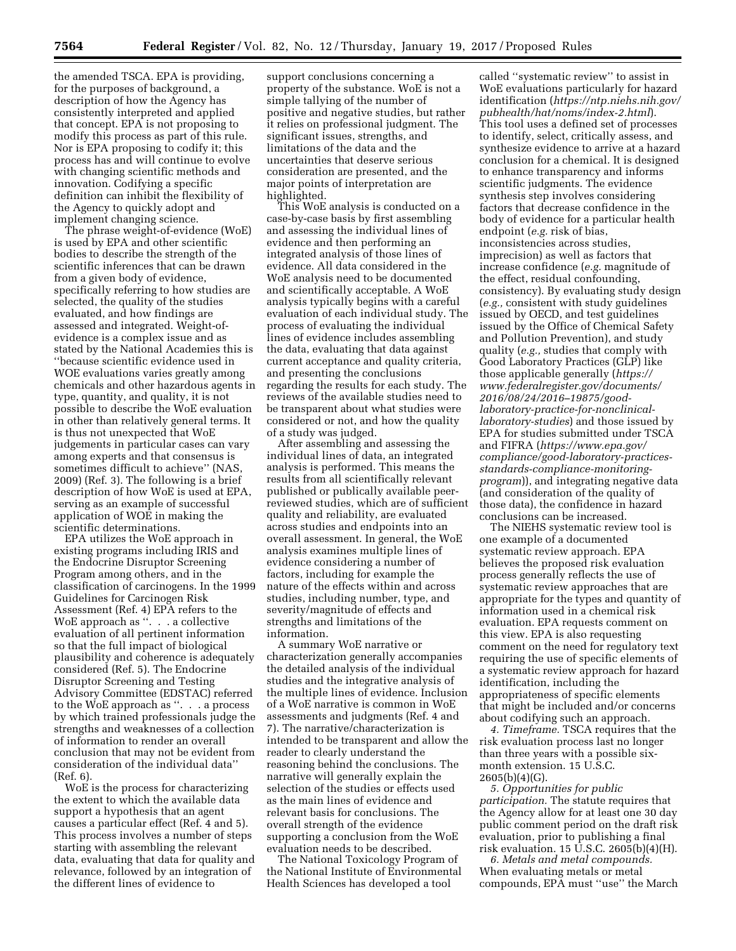the amended TSCA. EPA is providing, for the purposes of background, a description of how the Agency has consistently interpreted and applied that concept. EPA is not proposing to modify this process as part of this rule. Nor is EPA proposing to codify it; this process has and will continue to evolve with changing scientific methods and innovation. Codifying a specific definition can inhibit the flexibility of the Agency to quickly adopt and implement changing science.

The phrase weight-of-evidence (WoE) is used by EPA and other scientific bodies to describe the strength of the scientific inferences that can be drawn from a given body of evidence, specifically referring to how studies are selected, the quality of the studies evaluated, and how findings are assessed and integrated. Weight-ofevidence is a complex issue and as stated by the National Academies this is ''because scientific evidence used in WOE evaluations varies greatly among chemicals and other hazardous agents in type, quantity, and quality, it is not possible to describe the WoE evaluation in other than relatively general terms. It is thus not unexpected that WoE judgements in particular cases can vary among experts and that consensus is sometimes difficult to achieve'' (NAS, 2009) (Ref. 3). The following is a brief description of how WoE is used at EPA, serving as an example of successful application of WOE in making the scientific determinations.

EPA utilizes the WoE approach in existing programs including IRIS and the Endocrine Disruptor Screening Program among others, and in the classification of carcinogens. In the 1999 Guidelines for Carcinogen Risk Assessment (Ref. 4) EPA refers to the WoE approach as ". . . a collective evaluation of all pertinent information so that the full impact of biological plausibility and coherence is adequately considered (Ref. 5). The Endocrine Disruptor Screening and Testing Advisory Committee (EDSTAC) referred to the WoE approach as ''. . . a process by which trained professionals judge the strengths and weaknesses of a collection of information to render an overall conclusion that may not be evident from consideration of the individual data'' (Ref. 6).

WoE is the process for characterizing the extent to which the available data support a hypothesis that an agent causes a particular effect (Ref. 4 and 5). This process involves a number of steps starting with assembling the relevant data, evaluating that data for quality and relevance, followed by an integration of the different lines of evidence to

support conclusions concerning a property of the substance. WoE is not a simple tallying of the number of positive and negative studies, but rather it relies on professional judgment. The significant issues, strengths, and limitations of the data and the uncertainties that deserve serious consideration are presented, and the major points of interpretation are highlighted.

This WoE analysis is conducted on a case-by-case basis by first assembling and assessing the individual lines of evidence and then performing an integrated analysis of those lines of evidence. All data considered in the WoE analysis need to be documented and scientifically acceptable. A WoE analysis typically begins with a careful evaluation of each individual study. The process of evaluating the individual lines of evidence includes assembling the data, evaluating that data against current acceptance and quality criteria, and presenting the conclusions regarding the results for each study. The reviews of the available studies need to be transparent about what studies were considered or not, and how the quality of a study was judged.

After assembling and assessing the individual lines of data, an integrated analysis is performed. This means the results from all scientifically relevant published or publically available peerreviewed studies, which are of sufficient quality and reliability, are evaluated across studies and endpoints into an overall assessment. In general, the WoE analysis examines multiple lines of evidence considering a number of factors, including for example the nature of the effects within and across studies, including number, type, and severity/magnitude of effects and strengths and limitations of the information.

A summary WoE narrative or characterization generally accompanies the detailed analysis of the individual studies and the integrative analysis of the multiple lines of evidence. Inclusion of a WoE narrative is common in WoE assessments and judgments (Ref. 4 and 7). The narrative/characterization is intended to be transparent and allow the reader to clearly understand the reasoning behind the conclusions. The narrative will generally explain the selection of the studies or effects used as the main lines of evidence and relevant basis for conclusions. The overall strength of the evidence supporting a conclusion from the WoE evaluation needs to be described.

The National Toxicology Program of the National Institute of Environmental Health Sciences has developed a tool

called ''systematic review'' to assist in WoE evaluations particularly for hazard identification (*[https://ntp.niehs.nih.gov/](https://ntp.niehs.nih.gov/pubhealth/hat/noms/index-2.html) [pubhealth/hat/noms/index-2.html](https://ntp.niehs.nih.gov/pubhealth/hat/noms/index-2.html)*). This tool uses a defined set of processes to identify, select, critically assess, and synthesize evidence to arrive at a hazard conclusion for a chemical. It is designed to enhance transparency and informs scientific judgments. The evidence synthesis step involves considering factors that decrease confidence in the body of evidence for a particular health endpoint (*e.g.* risk of bias, inconsistencies across studies, imprecision) as well as factors that increase confidence (*e.g.* magnitude of the effect, residual confounding, consistency). By evaluating study design (*e.g.,* consistent with study guidelines issued by OECD, and test guidelines issued by the Office of Chemical Safety and Pollution Prevention), and study quality (*e.g.,* studies that comply with Good Laboratory Practices (GLP) like those applicable generally (*[https://](https://www.federalregister.gov/documents/2016/08/24/2016%E2%80%9319875/good-laboratory-practice-for-nonclinical-laboratory-studies)  [www.federalregister.gov/documents/](https://www.federalregister.gov/documents/2016/08/24/2016%E2%80%9319875/good-laboratory-practice-for-nonclinical-laboratory-studies)  2016/08/24/2016–19875/goodlaboratory-practice-for-nonclinical[laboratory-studies](https://www.federalregister.gov/documents/2016/08/24/2016%E2%80%9319875/good-laboratory-practice-for-nonclinical-laboratory-studies)*) and those issued by EPA for studies submitted under TSCA and FIFRA (*[https://www.epa.gov/](https://www.epa.gov/compliance/good-laboratory-practices-standards-compliance-monitoring-program)  [compliance/good-laboratory-practices](https://www.epa.gov/compliance/good-laboratory-practices-standards-compliance-monitoring-program)standards-compliance-monitoring[program](https://www.epa.gov/compliance/good-laboratory-practices-standards-compliance-monitoring-program)*)), and integrating negative data (and consideration of the quality of those data), the confidence in hazard conclusions can be increased.

The NIEHS systematic review tool is one example of a documented systematic review approach. EPA believes the proposed risk evaluation process generally reflects the use of systematic review approaches that are appropriate for the types and quantity of information used in a chemical risk evaluation. EPA requests comment on this view. EPA is also requesting comment on the need for regulatory text requiring the use of specific elements of a systematic review approach for hazard identification, including the appropriateness of specific elements that might be included and/or concerns about codifying such an approach.

*4. Timeframe.* TSCA requires that the risk evaluation process last no longer than three years with a possible sixmonth extension. 15 U.S.C. 2605(b)(4)(G).

*5. Opportunities for public participation.* The statute requires that the Agency allow for at least one 30 day public comment period on the draft risk evaluation, prior to publishing a final risk evaluation. 15 U.S.C. 2605(b)(4)(H).

*6. Metals and metal compounds.*  When evaluating metals or metal compounds, EPA must ''use'' the March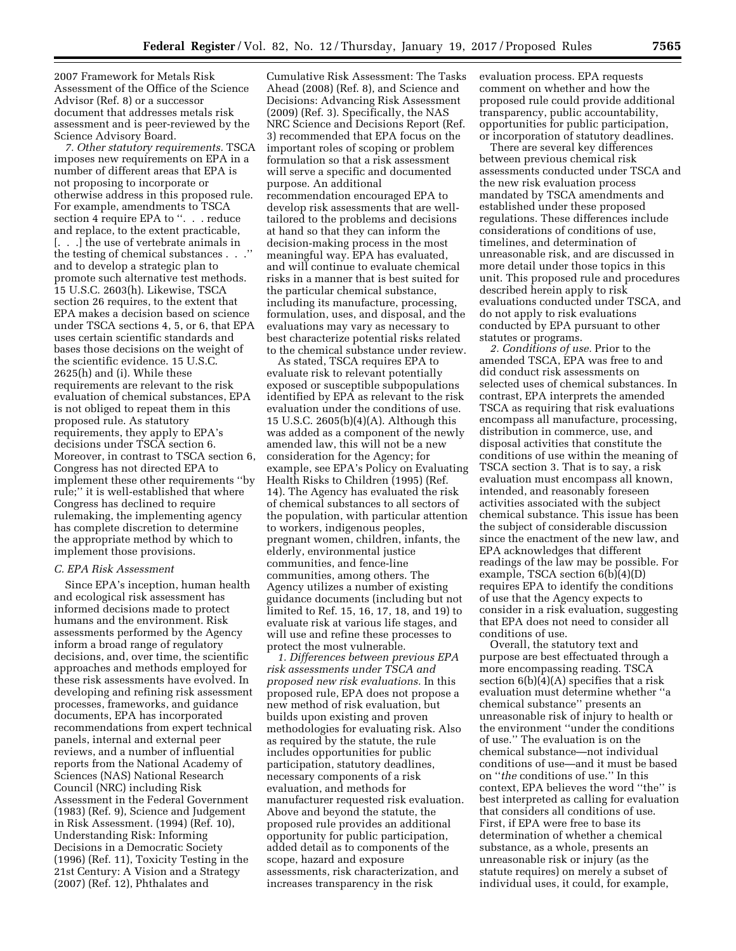2007 Framework for Metals Risk Assessment of the Office of the Science Advisor (Ref. 8) or a successor document that addresses metals risk assessment and is peer-reviewed by the Science Advisory Board.

*7. Other statutory requirements.* TSCA imposes new requirements on EPA in a number of different areas that EPA is not proposing to incorporate or otherwise address in this proposed rule. For example, amendments to TSCA section 4 require EPA to ". . . reduce and replace, to the extent practicable, [. . .] the use of vertebrate animals in the testing of chemical substances . . .'' and to develop a strategic plan to promote such alternative test methods. 15 U.S.C. 2603(h). Likewise, TSCA section 26 requires, to the extent that EPA makes a decision based on science under TSCA sections 4, 5, or 6, that EPA uses certain scientific standards and bases those decisions on the weight of the scientific evidence. 15 U.S.C. 2625(h) and (i). While these requirements are relevant to the risk evaluation of chemical substances, EPA is not obliged to repeat them in this proposed rule. As statutory requirements, they apply to EPA's decisions under TSCA section 6. Moreover, in contrast to TSCA section 6, Congress has not directed EPA to implement these other requirements ''by rule;'' it is well-established that where Congress has declined to require rulemaking, the implementing agency has complete discretion to determine the appropriate method by which to implement those provisions.

#### *C. EPA Risk Assessment*

Since EPA's inception, human health and ecological risk assessment has informed decisions made to protect humans and the environment. Risk assessments performed by the Agency inform a broad range of regulatory decisions, and, over time, the scientific approaches and methods employed for these risk assessments have evolved. In developing and refining risk assessment processes, frameworks, and guidance documents, EPA has incorporated recommendations from expert technical panels, internal and external peer reviews, and a number of influential reports from the National Academy of Sciences (NAS) National Research Council (NRC) including Risk Assessment in the Federal Government (1983) (Ref. 9), Science and Judgement in Risk Assessment. (1994) (Ref. 10), Understanding Risk: Informing Decisions in a Democratic Society (1996) (Ref. 11), Toxicity Testing in the 21st Century: A Vision and a Strategy (2007) (Ref. 12), Phthalates and

Cumulative Risk Assessment: The Tasks Ahead (2008) (Ref. 8), and Science and Decisions: Advancing Risk Assessment (2009) (Ref. 3). Specifically, the NAS NRC Science and Decisions Report (Ref. 3) recommended that EPA focus on the important roles of scoping or problem formulation so that a risk assessment will serve a specific and documented purpose. An additional recommendation encouraged EPA to develop risk assessments that are welltailored to the problems and decisions at hand so that they can inform the decision-making process in the most meaningful way. EPA has evaluated, and will continue to evaluate chemical risks in a manner that is best suited for the particular chemical substance, including its manufacture, processing, formulation, uses, and disposal, and the evaluations may vary as necessary to best characterize potential risks related to the chemical substance under review.

As stated, TSCA requires EPA to evaluate risk to relevant potentially exposed or susceptible subpopulations identified by EPA as relevant to the risk evaluation under the conditions of use. 15 U.S.C. 2605(b)(4)(A). Although this was added as a component of the newly amended law, this will not be a new consideration for the Agency; for example, see EPA's Policy on Evaluating Health Risks to Children (1995) (Ref. 14). The Agency has evaluated the risk of chemical substances to all sectors of the population, with particular attention to workers, indigenous peoples, pregnant women, children, infants, the elderly, environmental justice communities, and fence-line communities, among others. The Agency utilizes a number of existing guidance documents (including but not limited to Ref. 15, 16, 17, 18, and 19) to evaluate risk at various life stages, and will use and refine these processes to protect the most vulnerable.

*1. Differences between previous EPA risk assessments under TSCA and proposed new risk evaluations.* In this proposed rule, EPA does not propose a new method of risk evaluation, but builds upon existing and proven methodologies for evaluating risk. Also as required by the statute, the rule includes opportunities for public participation, statutory deadlines, necessary components of a risk evaluation, and methods for manufacturer requested risk evaluation. Above and beyond the statute, the proposed rule provides an additional opportunity for public participation, added detail as to components of the scope, hazard and exposure assessments, risk characterization, and increases transparency in the risk

evaluation process. EPA requests comment on whether and how the proposed rule could provide additional transparency, public accountability, opportunities for public participation, or incorporation of statutory deadlines.

There are several key differences between previous chemical risk assessments conducted under TSCA and the new risk evaluation process mandated by TSCA amendments and established under these proposed regulations. These differences include considerations of conditions of use, timelines, and determination of unreasonable risk, and are discussed in more detail under those topics in this unit. This proposed rule and procedures described herein apply to risk evaluations conducted under TSCA, and do not apply to risk evaluations conducted by EPA pursuant to other statutes or programs.

*2. Conditions of use.* Prior to the amended TSCA, EPA was free to and did conduct risk assessments on selected uses of chemical substances. In contrast, EPA interprets the amended TSCA as requiring that risk evaluations encompass all manufacture, processing, distribution in commerce, use, and disposal activities that constitute the conditions of use within the meaning of TSCA section 3. That is to say, a risk evaluation must encompass all known, intended, and reasonably foreseen activities associated with the subject chemical substance. This issue has been the subject of considerable discussion since the enactment of the new law, and EPA acknowledges that different readings of the law may be possible. For example, TSCA section 6(b)(4)(D) requires EPA to identify the conditions of use that the Agency expects to consider in a risk evaluation, suggesting that EPA does not need to consider all conditions of use.

Overall, the statutory text and purpose are best effectuated through a more encompassing reading. TSCA section 6(b)(4)(A) specifies that a risk evaluation must determine whether ''a chemical substance'' presents an unreasonable risk of injury to health or the environment ''under the conditions of use.'' The evaluation is on the chemical substance—not individual conditions of use—and it must be based on ''*the* conditions of use.'' In this context, EPA believes the word ''the'' is best interpreted as calling for evaluation that considers all conditions of use. First, if EPA were free to base its determination of whether a chemical substance, as a whole, presents an unreasonable risk or injury (as the statute requires) on merely a subset of individual uses, it could, for example,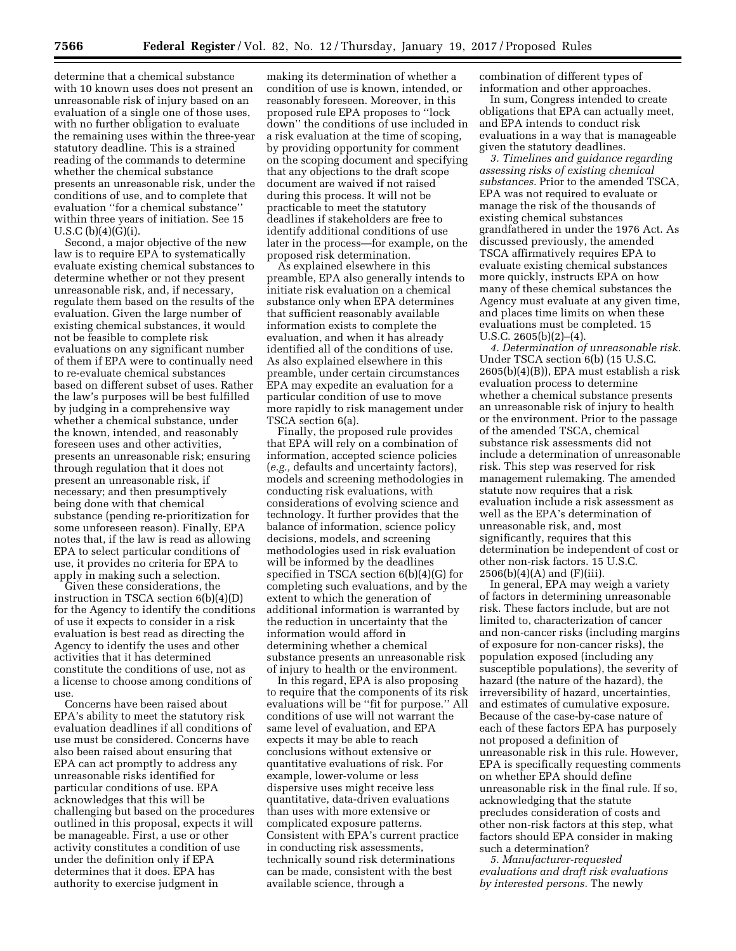determine that a chemical substance with 10 known uses does not present an unreasonable risk of injury based on an evaluation of a single one of those uses, with no further obligation to evaluate the remaining uses within the three-year statutory deadline. This is a strained reading of the commands to determine whether the chemical substance presents an unreasonable risk, under the conditions of use, and to complete that evaluation ''for a chemical substance'' within three years of initiation. See 15 U.S.C $(b)(4)(G)(i)$ .

Second, a major objective of the new law is to require EPA to systematically evaluate existing chemical substances to determine whether or not they present unreasonable risk, and, if necessary, regulate them based on the results of the evaluation. Given the large number of existing chemical substances, it would not be feasible to complete risk evaluations on any significant number of them if EPA were to continually need to re-evaluate chemical substances based on different subset of uses. Rather the law's purposes will be best fulfilled by judging in a comprehensive way whether a chemical substance, under the known, intended, and reasonably foreseen uses and other activities, presents an unreasonable risk; ensuring through regulation that it does not present an unreasonable risk, if necessary; and then presumptively being done with that chemical substance (pending re-prioritization for some unforeseen reason). Finally, EPA notes that, if the law is read as allowing EPA to select particular conditions of use, it provides no criteria for EPA to apply in making such a selection.

Given these considerations, the instruction in TSCA section 6(b)(4)(D) for the Agency to identify the conditions of use it expects to consider in a risk evaluation is best read as directing the Agency to identify the uses and other activities that it has determined constitute the conditions of use, not as a license to choose among conditions of use.

Concerns have been raised about EPA's ability to meet the statutory risk evaluation deadlines if all conditions of use must be considered. Concerns have also been raised about ensuring that EPA can act promptly to address any unreasonable risks identified for particular conditions of use. EPA acknowledges that this will be challenging but based on the procedures outlined in this proposal, expects it will be manageable. First, a use or other activity constitutes a condition of use under the definition only if EPA determines that it does. EPA has authority to exercise judgment in

making its determination of whether a condition of use is known, intended, or reasonably foreseen. Moreover, in this proposed rule EPA proposes to ''lock down'' the conditions of use included in a risk evaluation at the time of scoping, by providing opportunity for comment on the scoping document and specifying that any objections to the draft scope document are waived if not raised during this process. It will not be practicable to meet the statutory deadlines if stakeholders are free to identify additional conditions of use later in the process—for example, on the proposed risk determination.

As explained elsewhere in this preamble, EPA also generally intends to initiate risk evaluation on a chemical substance only when EPA determines that sufficient reasonably available information exists to complete the evaluation, and when it has already identified all of the conditions of use. As also explained elsewhere in this preamble, under certain circumstances EPA may expedite an evaluation for a particular condition of use to move more rapidly to risk management under TSCA section 6(a).

Finally, the proposed rule provides that EPA will rely on a combination of information, accepted science policies (*e.g.,* defaults and uncertainty factors), models and screening methodologies in conducting risk evaluations, with considerations of evolving science and technology. It further provides that the balance of information, science policy decisions, models, and screening methodologies used in risk evaluation will be informed by the deadlines specified in TSCA section 6(b)(4)(G) for completing such evaluations, and by the extent to which the generation of additional information is warranted by the reduction in uncertainty that the information would afford in determining whether a chemical substance presents an unreasonable risk of injury to health or the environment.

In this regard, EPA is also proposing to require that the components of its risk evaluations will be ''fit for purpose.'' All conditions of use will not warrant the same level of evaluation, and EPA expects it may be able to reach conclusions without extensive or quantitative evaluations of risk. For example, lower-volume or less dispersive uses might receive less quantitative, data-driven evaluations than uses with more extensive or complicated exposure patterns. Consistent with EPA's current practice in conducting risk assessments, technically sound risk determinations can be made, consistent with the best available science, through a

combination of different types of information and other approaches.

In sum, Congress intended to create obligations that EPA can actually meet, and EPA intends to conduct risk evaluations in a way that is manageable given the statutory deadlines.

*3. Timelines and guidance regarding assessing risks of existing chemical substances.* Prior to the amended TSCA, EPA was not required to evaluate or manage the risk of the thousands of existing chemical substances grandfathered in under the 1976 Act. As discussed previously, the amended TSCA affirmatively requires EPA to evaluate existing chemical substances more quickly, instructs EPA on how many of these chemical substances the Agency must evaluate at any given time, and places time limits on when these evaluations must be completed. 15 U.S.C. 2605(b)(2)–(4).

*4. Determination of unreasonable risk.*  Under TSCA section 6(b) (15 U.S.C. 2605(b)(4)(B)), EPA must establish a risk evaluation process to determine whether a chemical substance presents an unreasonable risk of injury to health or the environment. Prior to the passage of the amended TSCA, chemical substance risk assessments did not include a determination of unreasonable risk. This step was reserved for risk management rulemaking. The amended statute now requires that a risk evaluation include a risk assessment as well as the EPA's determination of unreasonable risk, and, most significantly, requires that this determination be independent of cost or other non-risk factors. 15 U.S.C.  $2506(b)(4)(A)$  and  $(F)(iii)$ .

In general, EPA may weigh a variety of factors in determining unreasonable risk. These factors include, but are not limited to, characterization of cancer and non-cancer risks (including margins of exposure for non-cancer risks), the population exposed (including any susceptible populations), the severity of hazard (the nature of the hazard), the irreversibility of hazard, uncertainties, and estimates of cumulative exposure. Because of the case-by-case nature of each of these factors EPA has purposely not proposed a definition of unreasonable risk in this rule. However, EPA is specifically requesting comments on whether EPA should define unreasonable risk in the final rule. If so, acknowledging that the statute precludes consideration of costs and other non-risk factors at this step, what factors should EPA consider in making such a determination?

*5. Manufacturer-requested evaluations and draft risk evaluations by interested persons.* The newly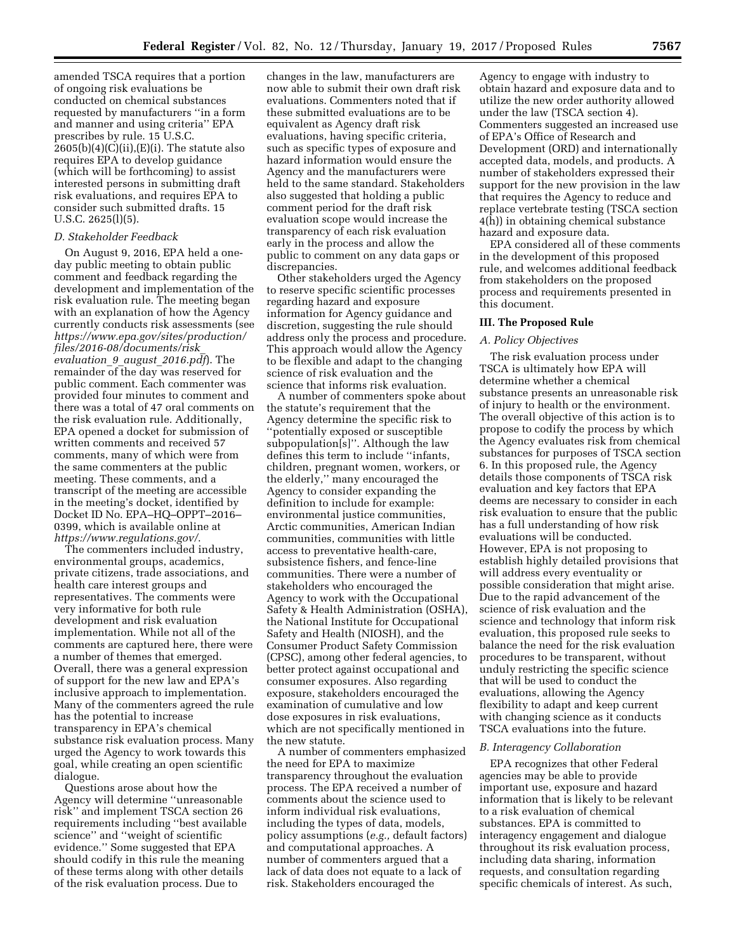amended TSCA requires that a portion of ongoing risk evaluations be conducted on chemical substances requested by manufacturers ''in a form and manner and using criteria'' EPA prescribes by rule. 15 U.S.C.  $2605(b)(4)(C)(ii),(E)(i)$ . The statute also requires EPA to develop guidance (which will be forthcoming) to assist interested persons in submitting draft risk evaluations, and requires EPA to consider such submitted drafts. 15 U.S.C. 2625(l)(5).

#### *D. Stakeholder Feedback*

On August 9, 2016, EPA held a oneday public meeting to obtain public comment and feedback regarding the development and implementation of the risk evaluation rule. The meeting began with an explanation of how the Agency currently conducts risk assessments (see *[https://www.epa.gov/sites/production/](https://www.epa.gov/sites/production/files/2016-08/documents/risk_evaluation_9_august_2016.pdf)  [files/2016-08/documents/risk](https://www.epa.gov/sites/production/files/2016-08/documents/risk_evaluation_9_august_2016.pdf)*\_ *[evaluation](https://www.epa.gov/sites/production/files/2016-08/documents/risk_evaluation_9_august_2016.pdf)*\_*9*\_*august*\_*2016.pdf*). The remainder of the day was reserved for public comment. Each commenter was provided four minutes to comment and there was a total of 47 oral comments on the risk evaluation rule. Additionally, EPA opened a docket for submission of written comments and received 57 comments, many of which were from the same commenters at the public meeting. These comments, and a transcript of the meeting are accessible in the meeting's docket, identified by Docket ID No. EPA–HQ–OPPT–2016– 0399, which is available online at *<https://www.regulations.gov/>*.

The commenters included industry, environmental groups, academics, private citizens, trade associations, and health care interest groups and representatives. The comments were very informative for both rule development and risk evaluation implementation. While not all of the comments are captured here, there were a number of themes that emerged. Overall, there was a general expression of support for the new law and EPA's inclusive approach to implementation. Many of the commenters agreed the rule has the potential to increase transparency in EPA's chemical substance risk evaluation process. Many urged the Agency to work towards this goal, while creating an open scientific dialogue.

Questions arose about how the Agency will determine ''unreasonable risk'' and implement TSCA section 26 requirements including ''best available science'' and ''weight of scientific evidence.'' Some suggested that EPA should codify in this rule the meaning of these terms along with other details of the risk evaluation process. Due to

changes in the law, manufacturers are now able to submit their own draft risk evaluations. Commenters noted that if these submitted evaluations are to be equivalent as Agency draft risk evaluations, having specific criteria, such as specific types of exposure and hazard information would ensure the Agency and the manufacturers were held to the same standard. Stakeholders also suggested that holding a public comment period for the draft risk evaluation scope would increase the transparency of each risk evaluation early in the process and allow the public to comment on any data gaps or discrepancies.

Other stakeholders urged the Agency to reserve specific scientific processes regarding hazard and exposure information for Agency guidance and discretion, suggesting the rule should address only the process and procedure. This approach would allow the Agency to be flexible and adapt to the changing science of risk evaluation and the science that informs risk evaluation.

A number of commenters spoke about the statute's requirement that the Agency determine the specific risk to ''potentially exposed or susceptible subpopulation[s]''. Although the law defines this term to include ''infants, children, pregnant women, workers, or the elderly,'' many encouraged the Agency to consider expanding the definition to include for example: environmental justice communities, Arctic communities, American Indian communities, communities with little access to preventative health-care, subsistence fishers, and fence-line communities. There were a number of stakeholders who encouraged the Agency to work with the Occupational Safety & Health Administration (OSHA), the National Institute for Occupational Safety and Health (NIOSH), and the Consumer Product Safety Commission (CPSC), among other federal agencies, to better protect against occupational and consumer exposures. Also regarding exposure, stakeholders encouraged the examination of cumulative and low dose exposures in risk evaluations, which are not specifically mentioned in the new statute.

A number of commenters emphasized the need for EPA to maximize transparency throughout the evaluation process. The EPA received a number of comments about the science used to inform individual risk evaluations, including the types of data, models, policy assumptions (*e.g.,* default factors) and computational approaches. A number of commenters argued that a lack of data does not equate to a lack of risk. Stakeholders encouraged the

Agency to engage with industry to obtain hazard and exposure data and to utilize the new order authority allowed under the law (TSCA section 4). Commenters suggested an increased use of EPA's Office of Research and Development (ORD) and internationally accepted data, models, and products. A number of stakeholders expressed their support for the new provision in the law that requires the Agency to reduce and replace vertebrate testing (TSCA section 4(h)) in obtaining chemical substance hazard and exposure data.

EPA considered all of these comments in the development of this proposed rule, and welcomes additional feedback from stakeholders on the proposed process and requirements presented in this document.

### **III. The Proposed Rule**

#### *A. Policy Objectives*

The risk evaluation process under TSCA is ultimately how EPA will determine whether a chemical substance presents an unreasonable risk of injury to health or the environment. The overall objective of this action is to propose to codify the process by which the Agency evaluates risk from chemical substances for purposes of TSCA section 6. In this proposed rule, the Agency details those components of TSCA risk evaluation and key factors that EPA deems are necessary to consider in each risk evaluation to ensure that the public has a full understanding of how risk evaluations will be conducted. However, EPA is not proposing to establish highly detailed provisions that will address every eventuality or possible consideration that might arise. Due to the rapid advancement of the science of risk evaluation and the science and technology that inform risk evaluation, this proposed rule seeks to balance the need for the risk evaluation procedures to be transparent, without unduly restricting the specific science that will be used to conduct the evaluations, allowing the Agency flexibility to adapt and keep current with changing science as it conducts TSCA evaluations into the future.

#### *B. Interagency Collaboration*

EPA recognizes that other Federal agencies may be able to provide important use, exposure and hazard information that is likely to be relevant to a risk evaluation of chemical substances. EPA is committed to interagency engagement and dialogue throughout its risk evaluation process, including data sharing, information requests, and consultation regarding specific chemicals of interest. As such,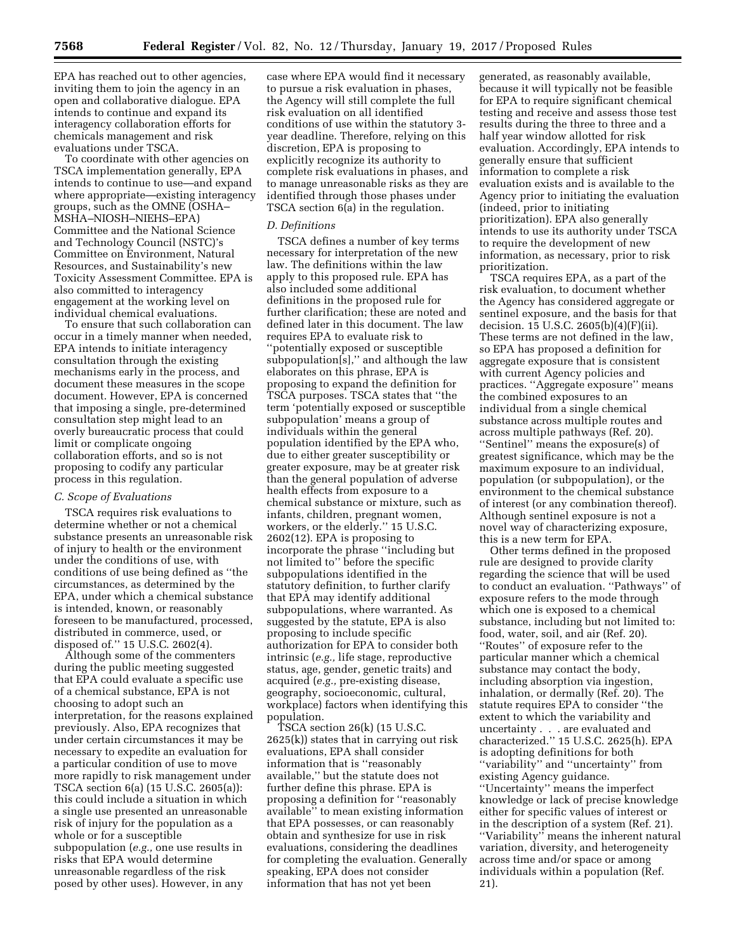EPA has reached out to other agencies, inviting them to join the agency in an open and collaborative dialogue. EPA intends to continue and expand its interagency collaboration efforts for chemicals management and risk evaluations under TSCA.

To coordinate with other agencies on TSCA implementation generally, EPA intends to continue to use—and expand where appropriate—existing interagency groups, such as the OMNE (OSHA– MSHA–NIOSH–NIEHS–EPA) Committee and the National Science and Technology Council (NSTC)'s Committee on Environment, Natural Resources, and Sustainability's new Toxicity Assessment Committee. EPA is also committed to interagency engagement at the working level on individual chemical evaluations.

To ensure that such collaboration can occur in a timely manner when needed, EPA intends to initiate interagency consultation through the existing mechanisms early in the process, and document these measures in the scope document. However, EPA is concerned that imposing a single, pre-determined consultation step might lead to an overly bureaucratic process that could limit or complicate ongoing collaboration efforts, and so is not proposing to codify any particular process in this regulation.

### *C. Scope of Evaluations*

TSCA requires risk evaluations to determine whether or not a chemical substance presents an unreasonable risk of injury to health or the environment under the conditions of use, with conditions of use being defined as ''the circumstances, as determined by the EPA, under which a chemical substance is intended, known, or reasonably foreseen to be manufactured, processed, distributed in commerce, used, or disposed of.'' 15 U.S.C. 2602(4).

Although some of the commenters during the public meeting suggested that EPA could evaluate a specific use of a chemical substance, EPA is not choosing to adopt such an interpretation, for the reasons explained previously. Also, EPA recognizes that under certain circumstances it may be necessary to expedite an evaluation for a particular condition of use to move more rapidly to risk management under TSCA section 6(a) (15 U.S.C. 2605(a)): this could include a situation in which a single use presented an unreasonable risk of injury for the population as a whole or for a susceptible subpopulation (*e.g.,* one use results in risks that EPA would determine unreasonable regardless of the risk posed by other uses). However, in any

case where EPA would find it necessary to pursue a risk evaluation in phases, the Agency will still complete the full risk evaluation on all identified conditions of use within the statutory 3 year deadline. Therefore, relying on this discretion, EPA is proposing to explicitly recognize its authority to complete risk evaluations in phases, and to manage unreasonable risks as they are identified through those phases under TSCA section 6(a) in the regulation.

# *D. Definitions*

TSCA defines a number of key terms necessary for interpretation of the new law. The definitions within the law apply to this proposed rule. EPA has also included some additional definitions in the proposed rule for further clarification; these are noted and defined later in this document. The law requires EPA to evaluate risk to ''potentially exposed or susceptible subpopulation[s],'' and although the law elaborates on this phrase, EPA is proposing to expand the definition for TSCA purposes. TSCA states that ''the term 'potentially exposed or susceptible subpopulation' means a group of individuals within the general population identified by the EPA who, due to either greater susceptibility or greater exposure, may be at greater risk than the general population of adverse health effects from exposure to a chemical substance or mixture, such as infants, children, pregnant women, workers, or the elderly.'' 15 U.S.C. 2602(12). EPA is proposing to incorporate the phrase ''including but not limited to'' before the specific subpopulations identified in the statutory definition, to further clarify that EPA may identify additional subpopulations, where warranted. As suggested by the statute, EPA is also proposing to include specific authorization for EPA to consider both intrinsic (*e.g.,* life stage, reproductive status, age, gender, genetic traits) and acquired (*e.g.,* pre-existing disease, geography, socioeconomic, cultural, workplace) factors when identifying this population.

TSCA section 26(k) (15 U.S.C. 2625(k)) states that in carrying out risk evaluations, EPA shall consider information that is ''reasonably available,'' but the statute does not further define this phrase. EPA is proposing a definition for ''reasonably available'' to mean existing information that EPA possesses, or can reasonably obtain and synthesize for use in risk evaluations, considering the deadlines for completing the evaluation. Generally speaking, EPA does not consider information that has not yet been

generated, as reasonably available, because it will typically not be feasible for EPA to require significant chemical testing and receive and assess those test results during the three to three and a half year window allotted for risk evaluation. Accordingly, EPA intends to generally ensure that sufficient information to complete a risk evaluation exists and is available to the Agency prior to initiating the evaluation (indeed, prior to initiating prioritization). EPA also generally intends to use its authority under TSCA to require the development of new information, as necessary, prior to risk prioritization.

TSCA requires EPA, as a part of the risk evaluation, to document whether the Agency has considered aggregate or sentinel exposure, and the basis for that decision. 15 U.S.C. 2605(b)(4)(F)(ii). These terms are not defined in the law, so EPA has proposed a definition for aggregate exposure that is consistent with current Agency policies and practices. ''Aggregate exposure'' means the combined exposures to an individual from a single chemical substance across multiple routes and across multiple pathways (Ref. 20). ''Sentinel'' means the exposure(s) of greatest significance, which may be the maximum exposure to an individual, population (or subpopulation), or the environment to the chemical substance of interest (or any combination thereof). Although sentinel exposure is not a novel way of characterizing exposure, this is a new term for EPA.

Other terms defined in the proposed rule are designed to provide clarity regarding the science that will be used to conduct an evaluation. ''Pathways'' of exposure refers to the mode through which one is exposed to a chemical substance, including but not limited to: food, water, soil, and air (Ref. 20). ''Routes'' of exposure refer to the particular manner which a chemical substance may contact the body, including absorption via ingestion, inhalation, or dermally (Ref. 20). The statute requires EPA to consider ''the extent to which the variability and uncertainty . . . are evaluated and characterized.'' 15 U.S.C. 2625(h). EPA is adopting definitions for both ''variability'' and ''uncertainty'' from existing Agency guidance. ''Uncertainty'' means the imperfect knowledge or lack of precise knowledge either for specific values of interest or in the description of a system (Ref. 21). "Variability" means the inherent natural variation, diversity, and heterogeneity across time and/or space or among individuals within a population (Ref. 21).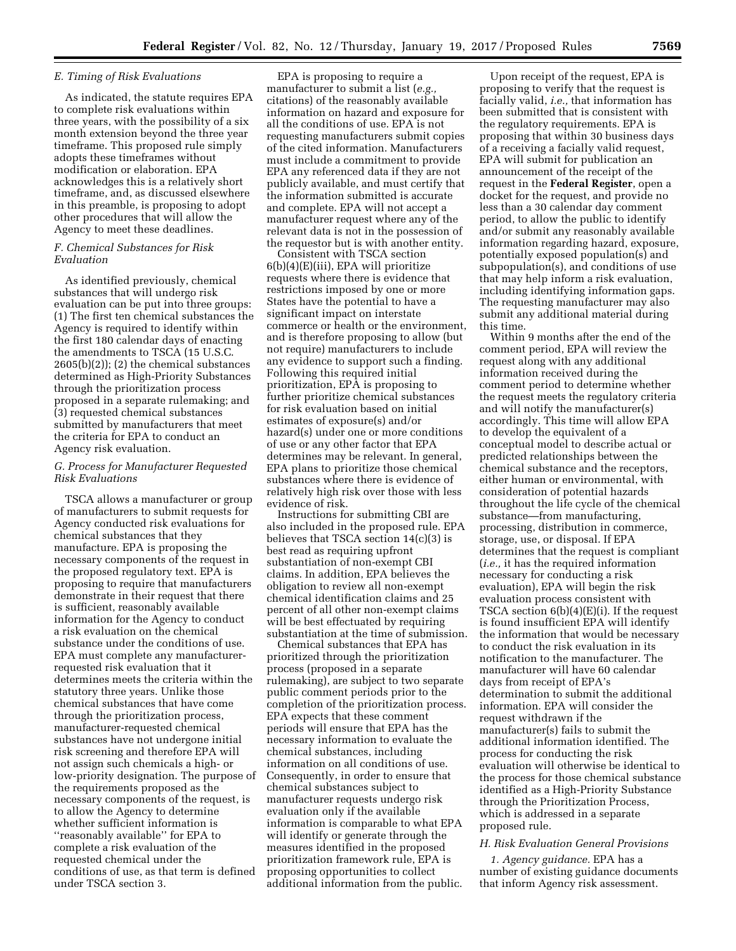#### *E. Timing of Risk Evaluations*

As indicated, the statute requires EPA to complete risk evaluations within three years, with the possibility of a six month extension beyond the three year timeframe. This proposed rule simply adopts these timeframes without modification or elaboration. EPA acknowledges this is a relatively short timeframe, and, as discussed elsewhere in this preamble, is proposing to adopt other procedures that will allow the Agency to meet these deadlines.

# *F. Chemical Substances for Risk Evaluation*

As identified previously, chemical substances that will undergo risk evaluation can be put into three groups: (1) The first ten chemical substances the Agency is required to identify within the first 180 calendar days of enacting the amendments to TSCA (15 U.S.C.  $2605(b)(2)$ ; (2) the chemical substances determined as High-Priority Substances through the prioritization process proposed in a separate rulemaking; and (3) requested chemical substances submitted by manufacturers that meet the criteria for EPA to conduct an Agency risk evaluation.

# *G. Process for Manufacturer Requested Risk Evaluations*

TSCA allows a manufacturer or group of manufacturers to submit requests for Agency conducted risk evaluations for chemical substances that they manufacture. EPA is proposing the necessary components of the request in the proposed regulatory text. EPA is proposing to require that manufacturers demonstrate in their request that there is sufficient, reasonably available information for the Agency to conduct a risk evaluation on the chemical substance under the conditions of use. EPA must complete any manufacturerrequested risk evaluation that it determines meets the criteria within the statutory three years. Unlike those chemical substances that have come through the prioritization process, manufacturer-requested chemical substances have not undergone initial risk screening and therefore EPA will not assign such chemicals a high- or low-priority designation. The purpose of the requirements proposed as the necessary components of the request, is to allow the Agency to determine whether sufficient information is ''reasonably available'' for EPA to complete a risk evaluation of the requested chemical under the conditions of use, as that term is defined under TSCA section 3.

EPA is proposing to require a manufacturer to submit a list (*e.g.,*  citations) of the reasonably available information on hazard and exposure for all the conditions of use. EPA is not requesting manufacturers submit copies of the cited information. Manufacturers must include a commitment to provide EPA any referenced data if they are not publicly available, and must certify that the information submitted is accurate and complete. EPA will not accept a manufacturer request where any of the relevant data is not in the possession of the requestor but is with another entity.

Consistent with TSCA section 6(b)(4)(E)(iii), EPA will prioritize requests where there is evidence that restrictions imposed by one or more States have the potential to have a significant impact on interstate commerce or health or the environment, and is therefore proposing to allow (but not require) manufacturers to include any evidence to support such a finding. Following this required initial prioritization, EPA is proposing to further prioritize chemical substances for risk evaluation based on initial estimates of exposure(s) and/or hazard(s) under one or more conditions of use or any other factor that EPA determines may be relevant. In general, EPA plans to prioritize those chemical substances where there is evidence of relatively high risk over those with less evidence of risk.

Instructions for submitting CBI are also included in the proposed rule. EPA believes that TSCA section 14(c)(3) is best read as requiring upfront substantiation of non-exempt CBI claims. In addition, EPA believes the obligation to review all non-exempt chemical identification claims and 25 percent of all other non-exempt claims will be best effectuated by requiring substantiation at the time of submission.

Chemical substances that EPA has prioritized through the prioritization process (proposed in a separate rulemaking), are subject to two separate public comment periods prior to the completion of the prioritization process. EPA expects that these comment periods will ensure that EPA has the necessary information to evaluate the chemical substances, including information on all conditions of use. Consequently, in order to ensure that chemical substances subject to manufacturer requests undergo risk evaluation only if the available information is comparable to what EPA will identify or generate through the measures identified in the proposed prioritization framework rule, EPA is proposing opportunities to collect additional information from the public.

Upon receipt of the request, EPA is proposing to verify that the request is facially valid, *i.e.,* that information has been submitted that is consistent with the regulatory requirements. EPA is proposing that within 30 business days of a receiving a facially valid request, EPA will submit for publication an announcement of the receipt of the request in the **Federal Register**, open a docket for the request, and provide no less than a 30 calendar day comment period, to allow the public to identify and/or submit any reasonably available information regarding hazard, exposure, potentially exposed population(s) and subpopulation(s), and conditions of use that may help inform a risk evaluation, including identifying information gaps. The requesting manufacturer may also submit any additional material during this time.

Within 9 months after the end of the comment period, EPA will review the request along with any additional information received during the comment period to determine whether the request meets the regulatory criteria and will notify the manufacturer(s) accordingly. This time will allow EPA to develop the equivalent of a conceptual model to describe actual or predicted relationships between the chemical substance and the receptors, either human or environmental, with consideration of potential hazards throughout the life cycle of the chemical substance—from manufacturing, processing, distribution in commerce, storage, use, or disposal. If EPA determines that the request is compliant (*i.e.,* it has the required information necessary for conducting a risk evaluation), EPA will begin the risk evaluation process consistent with TSCA section 6(b)(4)(E)(i). If the request is found insufficient EPA will identify the information that would be necessary to conduct the risk evaluation in its notification to the manufacturer. The manufacturer will have 60 calendar days from receipt of EPA's determination to submit the additional information. EPA will consider the request withdrawn if the manufacturer(s) fails to submit the additional information identified. The process for conducting the risk evaluation will otherwise be identical to the process for those chemical substance identified as a High-Priority Substance through the Prioritization Process, which is addressed in a separate proposed rule.

# *H. Risk Evaluation General Provisions*

*1. Agency guidance.* EPA has a number of existing guidance documents that inform Agency risk assessment.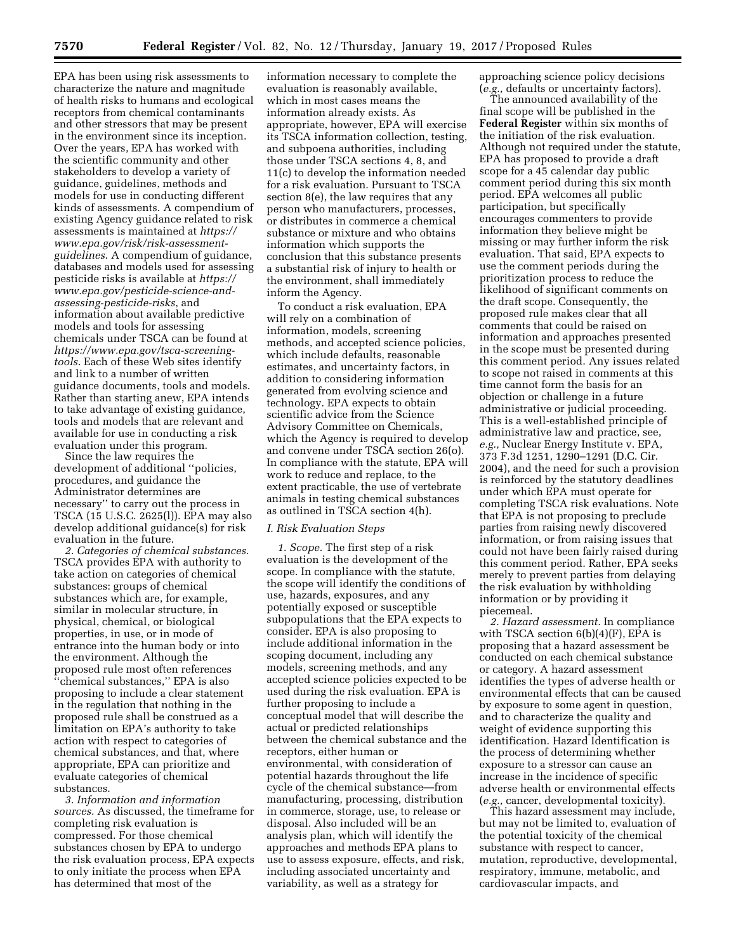EPA has been using risk assessments to characterize the nature and magnitude of health risks to humans and ecological receptors from chemical contaminants and other stressors that may be present in the environment since its inception. Over the years, EPA has worked with the scientific community and other stakeholders to develop a variety of guidance, guidelines, methods and models for use in conducting different kinds of assessments. A compendium of existing Agency guidance related to risk assessments is maintained at *[https://](https://www.epa.gov/risk/risk-assessment-guidelines)  [www.epa.gov/risk/risk-assessment](https://www.epa.gov/risk/risk-assessment-guidelines)[guidelines](https://www.epa.gov/risk/risk-assessment-guidelines)*. A compendium of guidance, databases and models used for assessing pesticide risks is available at *[https://](https://www.epa.gov/pesticide-science-and-assessing-pesticide-risks) [www.epa.gov/pesticide-science-and](https://www.epa.gov/pesticide-science-and-assessing-pesticide-risks)[assessing-pesticide-risks](https://www.epa.gov/pesticide-science-and-assessing-pesticide-risks)*, and information about available predictive models and tools for assessing chemicals under TSCA can be found at *[https://www.epa.gov/tsca-screening](https://www.epa.gov/tsca-screening-tools)[tools](https://www.epa.gov/tsca-screening-tools)*. Each of these Web sites identify and link to a number of written guidance documents, tools and models. Rather than starting anew, EPA intends to take advantage of existing guidance, tools and models that are relevant and available for use in conducting a risk evaluation under this program.

Since the law requires the development of additional ''policies, procedures, and guidance the Administrator determines are necessary'' to carry out the process in TSCA (15 U.S.C. 2625(l)). EPA may also develop additional guidance(s) for risk evaluation in the future.

*2. Categories of chemical substances.*  TSCA provides EPA with authority to take action on categories of chemical substances: groups of chemical substances which are, for example, similar in molecular structure, in physical, chemical, or biological properties, in use, or in mode of entrance into the human body or into the environment. Although the proposed rule most often references ''chemical substances,'' EPA is also proposing to include a clear statement in the regulation that nothing in the proposed rule shall be construed as a limitation on EPA's authority to take action with respect to categories of chemical substances, and that, where appropriate, EPA can prioritize and evaluate categories of chemical substances.

*3. Information and information sources.* As discussed, the timeframe for completing risk evaluation is compressed. For those chemical substances chosen by EPA to undergo the risk evaluation process, EPA expects to only initiate the process when EPA has determined that most of the

information necessary to complete the evaluation is reasonably available, which in most cases means the information already exists. As appropriate, however, EPA will exercise its TSCA information collection, testing, and subpoena authorities, including those under TSCA sections 4, 8, and 11(c) to develop the information needed for a risk evaluation. Pursuant to TSCA section 8(e), the law requires that any person who manufacturers, processes, or distributes in commerce a chemical substance or mixture and who obtains information which supports the conclusion that this substance presents a substantial risk of injury to health or the environment, shall immediately inform the Agency.

To conduct a risk evaluation, EPA will rely on a combination of information, models, screening methods, and accepted science policies, which include defaults, reasonable estimates, and uncertainty factors, in addition to considering information generated from evolving science and technology. EPA expects to obtain scientific advice from the Science Advisory Committee on Chemicals, which the Agency is required to develop and convene under TSCA section 26(o). In compliance with the statute, EPA will work to reduce and replace, to the extent practicable, the use of vertebrate animals in testing chemical substances as outlined in TSCA section 4(h).

### *I. Risk Evaluation Steps*

*1. Scope.* The first step of a risk evaluation is the development of the scope. In compliance with the statute, the scope will identify the conditions of use, hazards, exposures, and any potentially exposed or susceptible subpopulations that the EPA expects to consider. EPA is also proposing to include additional information in the scoping document, including any models, screening methods, and any accepted science policies expected to be used during the risk evaluation. EPA is further proposing to include a conceptual model that will describe the actual or predicted relationships between the chemical substance and the receptors, either human or environmental, with consideration of potential hazards throughout the life cycle of the chemical substance—from manufacturing, processing, distribution in commerce, storage, use, to release or disposal. Also included will be an analysis plan, which will identify the approaches and methods EPA plans to use to assess exposure, effects, and risk, including associated uncertainty and variability, as well as a strategy for

approaching science policy decisions (*e.g.,* defaults or uncertainty factors).

The announced availability of the final scope will be published in the **Federal Register** within six months of the initiation of the risk evaluation. Although not required under the statute, EPA has proposed to provide a draft scope for a 45 calendar day public comment period during this six month period. EPA welcomes all public participation, but specifically encourages commenters to provide information they believe might be missing or may further inform the risk evaluation. That said, EPA expects to use the comment periods during the prioritization process to reduce the likelihood of significant comments on the draft scope. Consequently, the proposed rule makes clear that all comments that could be raised on information and approaches presented in the scope must be presented during this comment period. Any issues related to scope not raised in comments at this time cannot form the basis for an objection or challenge in a future administrative or judicial proceeding. This is a well-established principle of administrative law and practice, see, *e.g.,* Nuclear Energy Institute v. EPA, 373 F.3d 1251, 1290–1291 (D.C. Cir. 2004), and the need for such a provision is reinforced by the statutory deadlines under which EPA must operate for completing TSCA risk evaluations. Note that EPA is not proposing to preclude parties from raising newly discovered information, or from raising issues that could not have been fairly raised during this comment period. Rather, EPA seeks merely to prevent parties from delaying the risk evaluation by withholding information or by providing it piecemeal.

*2. Hazard assessment.* In compliance with TSCA section  $6(b)(4)(F)$ , EPA is proposing that a hazard assessment be conducted on each chemical substance or category. A hazard assessment identifies the types of adverse health or environmental effects that can be caused by exposure to some agent in question, and to characterize the quality and weight of evidence supporting this identification. Hazard Identification is the process of determining whether exposure to a stressor can cause an increase in the incidence of specific adverse health or environmental effects (*e.g.,* cancer, developmental toxicity).

This hazard assessment may include, but may not be limited to, evaluation of the potential toxicity of the chemical substance with respect to cancer, mutation, reproductive, developmental, respiratory, immune, metabolic, and cardiovascular impacts, and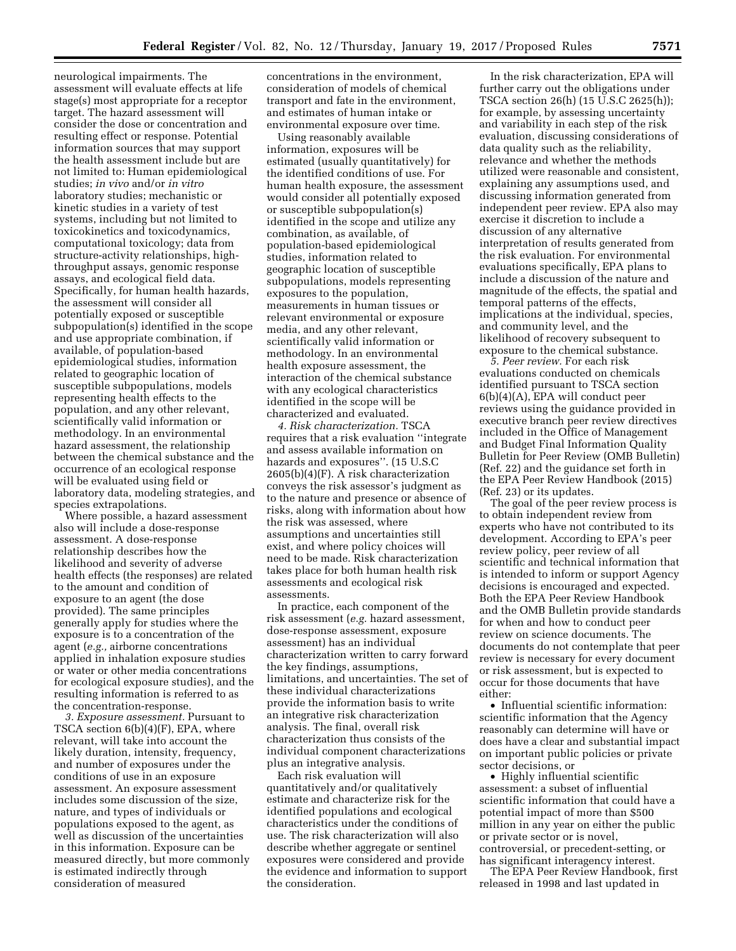neurological impairments. The assessment will evaluate effects at life stage(s) most appropriate for a receptor target. The hazard assessment will consider the dose or concentration and resulting effect or response. Potential information sources that may support the health assessment include but are not limited to: Human epidemiological studies; *in vivo* and/or *in vitro*  laboratory studies; mechanistic or kinetic studies in a variety of test systems, including but not limited to toxicokinetics and toxicodynamics, computational toxicology; data from structure-activity relationships, highthroughput assays, genomic response assays, and ecological field data. Specifically, for human health hazards, the assessment will consider all potentially exposed or susceptible subpopulation(s) identified in the scope and use appropriate combination, if available, of population-based epidemiological studies, information related to geographic location of susceptible subpopulations, models representing health effects to the population, and any other relevant, scientifically valid information or methodology. In an environmental hazard assessment, the relationship between the chemical substance and the occurrence of an ecological response will be evaluated using field or laboratory data, modeling strategies, and species extrapolations.

Where possible, a hazard assessment also will include a dose-response assessment. A dose-response relationship describes how the likelihood and severity of adverse health effects (the responses) are related to the amount and condition of exposure to an agent (the dose provided). The same principles generally apply for studies where the exposure is to a concentration of the agent (*e.g.,* airborne concentrations applied in inhalation exposure studies or water or other media concentrations for ecological exposure studies), and the resulting information is referred to as the concentration-response.

*3. Exposure assessment.* Pursuant to TSCA section 6(b)(4)(F), EPA, where relevant, will take into account the likely duration, intensity, frequency, and number of exposures under the conditions of use in an exposure assessment. An exposure assessment includes some discussion of the size, nature, and types of individuals or populations exposed to the agent, as well as discussion of the uncertainties in this information. Exposure can be measured directly, but more commonly is estimated indirectly through consideration of measured

concentrations in the environment, consideration of models of chemical transport and fate in the environment, and estimates of human intake or environmental exposure over time.

Using reasonably available information, exposures will be estimated (usually quantitatively) for the identified conditions of use. For human health exposure, the assessment would consider all potentially exposed or susceptible subpopulation(s) identified in the scope and utilize any combination, as available, of population-based epidemiological studies, information related to geographic location of susceptible subpopulations, models representing exposures to the population, measurements in human tissues or relevant environmental or exposure media, and any other relevant, scientifically valid information or methodology. In an environmental health exposure assessment, the interaction of the chemical substance with any ecological characteristics identified in the scope will be characterized and evaluated.

*4. Risk characterization.* TSCA requires that a risk evaluation ''integrate and assess available information on hazards and exposures''. (15 U.S.C 2605(b)(4)(F). A risk characterization conveys the risk assessor's judgment as to the nature and presence or absence of risks, along with information about how the risk was assessed, where assumptions and uncertainties still exist, and where policy choices will need to be made. Risk characterization takes place for both human health risk assessments and ecological risk assessments.

In practice, each component of the risk assessment (*e.g.* hazard assessment, dose-response assessment, exposure assessment) has an individual characterization written to carry forward the key findings, assumptions, limitations, and uncertainties. The set of these individual characterizations provide the information basis to write an integrative risk characterization analysis. The final, overall risk characterization thus consists of the individual component characterizations plus an integrative analysis.

Each risk evaluation will quantitatively and/or qualitatively estimate and characterize risk for the identified populations and ecological characteristics under the conditions of use. The risk characterization will also describe whether aggregate or sentinel exposures were considered and provide the evidence and information to support the consideration.

In the risk characterization, EPA will further carry out the obligations under TSCA section 26(h) (15 U.S.C 2625(h)); for example, by assessing uncertainty and variability in each step of the risk evaluation, discussing considerations of data quality such as the reliability, relevance and whether the methods utilized were reasonable and consistent, explaining any assumptions used, and discussing information generated from independent peer review. EPA also may exercise it discretion to include a discussion of any alternative interpretation of results generated from the risk evaluation. For environmental evaluations specifically, EPA plans to include a discussion of the nature and magnitude of the effects, the spatial and temporal patterns of the effects, implications at the individual, species, and community level, and the likelihood of recovery subsequent to exposure to the chemical substance.

*5. Peer review.* For each risk evaluations conducted on chemicals identified pursuant to TSCA section 6(b)(4)(A), EPA will conduct peer reviews using the guidance provided in executive branch peer review directives included in the Office of Management and Budget Final Information Quality Bulletin for Peer Review (OMB Bulletin) (Ref. 22) and the guidance set forth in the EPA Peer Review Handbook (2015) (Ref. 23) or its updates.

The goal of the peer review process is to obtain independent review from experts who have not contributed to its development. According to EPA's peer review policy, peer review of all scientific and technical information that is intended to inform or support Agency decisions is encouraged and expected. Both the EPA Peer Review Handbook and the OMB Bulletin provide standards for when and how to conduct peer review on science documents. The documents do not contemplate that peer review is necessary for every document or risk assessment, but is expected to occur for those documents that have either:

• Influential scientific information: scientific information that the Agency reasonably can determine will have or does have a clear and substantial impact on important public policies or private sector decisions, or

• Highly influential scientific assessment: a subset of influential scientific information that could have a potential impact of more than \$500 million in any year on either the public or private sector or is novel, controversial, or precedent-setting, or has significant interagency interest.

The EPA Peer Review Handbook, first released in 1998 and last updated in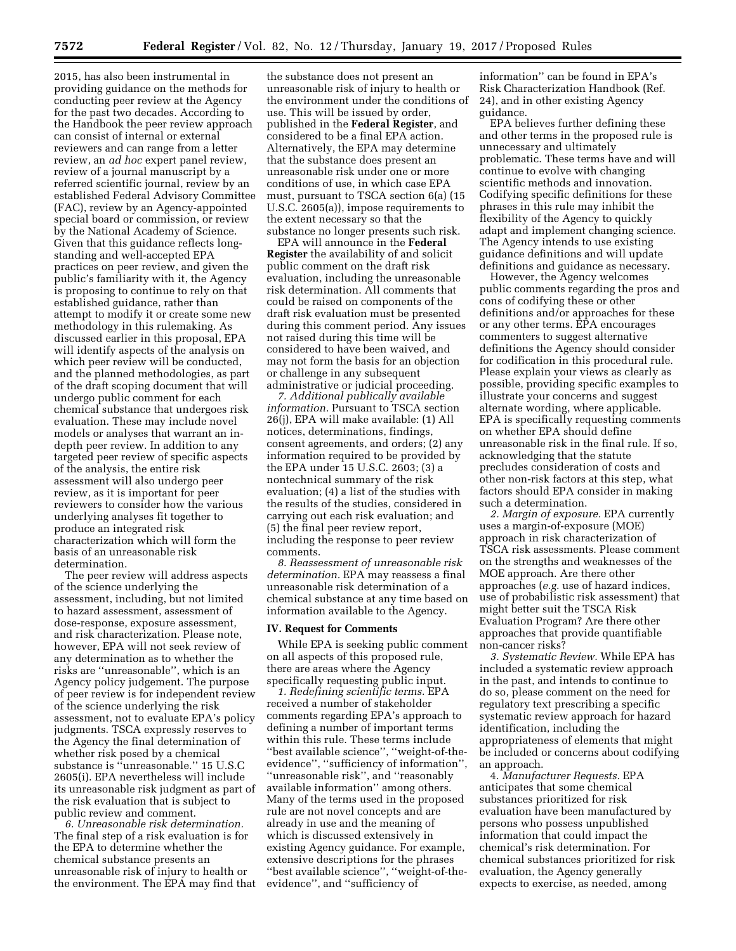2015, has also been instrumental in providing guidance on the methods for conducting peer review at the Agency for the past two decades. According to the Handbook the peer review approach can consist of internal or external reviewers and can range from a letter review, an *ad hoc* expert panel review, review of a journal manuscript by a referred scientific journal, review by an established Federal Advisory Committee (FAC), review by an Agency-appointed special board or commission, or review by the National Academy of Science. Given that this guidance reflects longstanding and well-accepted EPA practices on peer review, and given the public's familiarity with it, the Agency is proposing to continue to rely on that established guidance, rather than attempt to modify it or create some new methodology in this rulemaking. As discussed earlier in this proposal, EPA will identify aspects of the analysis on which peer review will be conducted, and the planned methodologies, as part of the draft scoping document that will undergo public comment for each chemical substance that undergoes risk evaluation. These may include novel models or analyses that warrant an indepth peer review. In addition to any targeted peer review of specific aspects of the analysis, the entire risk assessment will also undergo peer review, as it is important for peer reviewers to consider how the various underlying analyses fit together to produce an integrated risk characterization which will form the basis of an unreasonable risk determination.

The peer review will address aspects of the science underlying the assessment, including, but not limited to hazard assessment, assessment of dose-response, exposure assessment, and risk characterization. Please note, however, EPA will not seek review of any determination as to whether the risks are ''unreasonable'', which is an Agency policy judgement. The purpose of peer review is for independent review of the science underlying the risk assessment, not to evaluate EPA's policy judgments. TSCA expressly reserves to the Agency the final determination of whether risk posed by a chemical substance is "unreasonable." 15 U.S.C 2605(i). EPA nevertheless will include its unreasonable risk judgment as part of the risk evaluation that is subject to public review and comment.

*6. Unreasonable risk determination.*  The final step of a risk evaluation is for the EPA to determine whether the chemical substance presents an unreasonable risk of injury to health or the environment. The EPA may find that

the substance does not present an unreasonable risk of injury to health or the environment under the conditions of use. This will be issued by order, published in the **Federal Register**, and considered to be a final EPA action. Alternatively, the EPA may determine that the substance does present an unreasonable risk under one or more conditions of use, in which case EPA must, pursuant to TSCA section 6(a) (15 U.S.C. 2605(a)), impose requirements to the extent necessary so that the substance no longer presents such risk.

EPA will announce in the **Federal Register** the availability of and solicit public comment on the draft risk evaluation, including the unreasonable risk determination. All comments that could be raised on components of the draft risk evaluation must be presented during this comment period. Any issues not raised during this time will be considered to have been waived, and may not form the basis for an objection or challenge in any subsequent administrative or judicial proceeding.

*7. Additional publically available information.* Pursuant to TSCA section 26(j), EPA will make available: (1) All notices, determinations, findings, consent agreements, and orders; (2) any information required to be provided by the EPA under 15 U.S.C. 2603; (3) a nontechnical summary of the risk evaluation; (4) a list of the studies with the results of the studies, considered in carrying out each risk evaluation; and (5) the final peer review report, including the response to peer review comments.

*8. Reassessment of unreasonable risk determination.* EPA may reassess a final unreasonable risk determination of a chemical substance at any time based on information available to the Agency.

#### **IV. Request for Comments**

While EPA is seeking public comment on all aspects of this proposed rule, there are areas where the Agency specifically requesting public input.

*1. Redefining scientific terms.* EPA received a number of stakeholder comments regarding EPA's approach to defining a number of important terms within this rule. These terms include ''best available science'', ''weight-of-theevidence'', ''sufficiency of information'', ''unreasonable risk'', and ''reasonably available information'' among others. Many of the terms used in the proposed rule are not novel concepts and are already in use and the meaning of which is discussed extensively in existing Agency guidance. For example, extensive descriptions for the phrases ''best available science'', ''weight-of-theevidence'', and ''sufficiency of

information'' can be found in EPA's Risk Characterization Handbook (Ref. 24), and in other existing Agency guidance.

EPA believes further defining these and other terms in the proposed rule is unnecessary and ultimately problematic. These terms have and will continue to evolve with changing scientific methods and innovation. Codifying specific definitions for these phrases in this rule may inhibit the flexibility of the Agency to quickly adapt and implement changing science. The Agency intends to use existing guidance definitions and will update definitions and guidance as necessary.

However, the Agency welcomes public comments regarding the pros and cons of codifying these or other definitions and/or approaches for these or any other terms. EPA encourages commenters to suggest alternative definitions the Agency should consider for codification in this procedural rule. Please explain your views as clearly as possible, providing specific examples to illustrate your concerns and suggest alternate wording, where applicable. EPA is specifically requesting comments on whether EPA should define unreasonable risk in the final rule. If so, acknowledging that the statute precludes consideration of costs and other non-risk factors at this step, what factors should EPA consider in making such a determination.

*2. Margin of exposure.* EPA currently uses a margin-of-exposure (MOE) approach in risk characterization of TSCA risk assessments. Please comment on the strengths and weaknesses of the MOE approach. Are there other approaches (*e.g.* use of hazard indices, use of probabilistic risk assessment) that might better suit the TSCA Risk Evaluation Program? Are there other approaches that provide quantifiable non-cancer risks?

*3. Systematic Review.* While EPA has included a systematic review approach in the past, and intends to continue to do so, please comment on the need for regulatory text prescribing a specific systematic review approach for hazard identification, including the appropriateness of elements that might be included or concerns about codifying an approach.

4. *Manufacturer Requests.* EPA anticipates that some chemical substances prioritized for risk evaluation have been manufactured by persons who possess unpublished information that could impact the chemical's risk determination. For chemical substances prioritized for risk evaluation, the Agency generally expects to exercise, as needed, among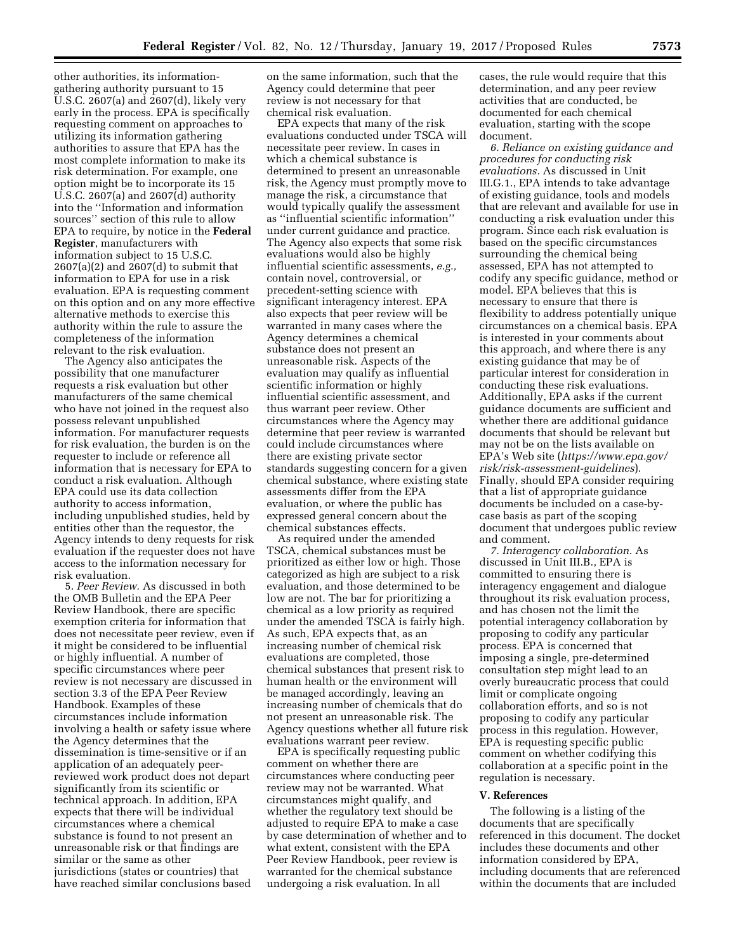other authorities, its informationgathering authority pursuant to 15 U.S.C. 2607(a) and 2607(d), likely very early in the process. EPA is specifically requesting comment on approaches to utilizing its information gathering authorities to assure that EPA has the most complete information to make its risk determination. For example, one option might be to incorporate its 15 U.S.C. 2607(a) and 2607(d) authority into the ''Information and information sources'' section of this rule to allow EPA to require, by notice in the **Federal Register**, manufacturers with information subject to 15 U.S.C.  $2607(a)(2)$  and  $2607(d)$  to submit that information to EPA for use in a risk evaluation. EPA is requesting comment on this option and on any more effective alternative methods to exercise this authority within the rule to assure the completeness of the information relevant to the risk evaluation.

The Agency also anticipates the possibility that one manufacturer requests a risk evaluation but other manufacturers of the same chemical who have not joined in the request also possess relevant unpublished information. For manufacturer requests for risk evaluation, the burden is on the requester to include or reference all information that is necessary for EPA to conduct a risk evaluation. Although EPA could use its data collection authority to access information, including unpublished studies, held by entities other than the requestor, the Agency intends to deny requests for risk evaluation if the requester does not have access to the information necessary for risk evaluation.

5. *Peer Review.* As discussed in both the OMB Bulletin and the EPA Peer Review Handbook, there are specific exemption criteria for information that does not necessitate peer review, even if it might be considered to be influential or highly influential. A number of specific circumstances where peer review is not necessary are discussed in section 3.3 of the EPA Peer Review Handbook. Examples of these circumstances include information involving a health or safety issue where the Agency determines that the dissemination is time-sensitive or if an application of an adequately peerreviewed work product does not depart significantly from its scientific or technical approach. In addition, EPA expects that there will be individual circumstances where a chemical substance is found to not present an unreasonable risk or that findings are similar or the same as other jurisdictions (states or countries) that have reached similar conclusions based

on the same information, such that the Agency could determine that peer review is not necessary for that chemical risk evaluation.

EPA expects that many of the risk evaluations conducted under TSCA will necessitate peer review. In cases in which a chemical substance is determined to present an unreasonable risk, the Agency must promptly move to manage the risk, a circumstance that would typically qualify the assessment as ''influential scientific information'' under current guidance and practice. The Agency also expects that some risk evaluations would also be highly influential scientific assessments, *e.g.,*  contain novel, controversial, or precedent-setting science with significant interagency interest. EPA also expects that peer review will be warranted in many cases where the Agency determines a chemical substance does not present an unreasonable risk. Aspects of the evaluation may qualify as influential scientific information or highly influential scientific assessment, and thus warrant peer review. Other circumstances where the Agency may determine that peer review is warranted could include circumstances where there are existing private sector standards suggesting concern for a given chemical substance, where existing state assessments differ from the EPA evaluation, or where the public has expressed general concern about the chemical substances effects.

As required under the amended TSCA, chemical substances must be prioritized as either low or high. Those categorized as high are subject to a risk evaluation, and those determined to be low are not. The bar for prioritizing a chemical as a low priority as required under the amended TSCA is fairly high. As such, EPA expects that, as an increasing number of chemical risk evaluations are completed, those chemical substances that present risk to human health or the environment will be managed accordingly, leaving an increasing number of chemicals that do not present an unreasonable risk. The Agency questions whether all future risk evaluations warrant peer review.

EPA is specifically requesting public comment on whether there are circumstances where conducting peer review may not be warranted. What circumstances might qualify, and whether the regulatory text should be adjusted to require EPA to make a case by case determination of whether and to what extent, consistent with the EPA Peer Review Handbook, peer review is warranted for the chemical substance undergoing a risk evaluation. In all

cases, the rule would require that this determination, and any peer review activities that are conducted, be documented for each chemical evaluation, starting with the scope document.

*6. Reliance on existing guidance and procedures for conducting risk evaluations.* As discussed in Unit III.G.1., EPA intends to take advantage of existing guidance, tools and models that are relevant and available for use in conducting a risk evaluation under this program. Since each risk evaluation is based on the specific circumstances surrounding the chemical being assessed, EPA has not attempted to codify any specific guidance, method or model. EPA believes that this is necessary to ensure that there is flexibility to address potentially unique circumstances on a chemical basis. EPA is interested in your comments about this approach, and where there is any existing guidance that may be of particular interest for consideration in conducting these risk evaluations. Additionally, EPA asks if the current guidance documents are sufficient and whether there are additional guidance documents that should be relevant but may not be on the lists available on EPA's Web site (*[https://www.epa.gov/](https://www.epa.gov/risk/risk-assessment-guidelines)  [risk/risk-assessment-guidelines](https://www.epa.gov/risk/risk-assessment-guidelines)*). Finally, should EPA consider requiring that a list of appropriate guidance documents be included on a case-bycase basis as part of the scoping document that undergoes public review and comment.

*7. Interagency collaboration.* As discussed in Unit III.B., EPA is committed to ensuring there is interagency engagement and dialogue throughout its risk evaluation process, and has chosen not the limit the potential interagency collaboration by proposing to codify any particular process. EPA is concerned that imposing a single, pre-determined consultation step might lead to an overly bureaucratic process that could limit or complicate ongoing collaboration efforts, and so is not proposing to codify any particular process in this regulation. However, EPA is requesting specific public comment on whether codifying this collaboration at a specific point in the regulation is necessary.

### **V. References**

The following is a listing of the documents that are specifically referenced in this document. The docket includes these documents and other information considered by EPA, including documents that are referenced within the documents that are included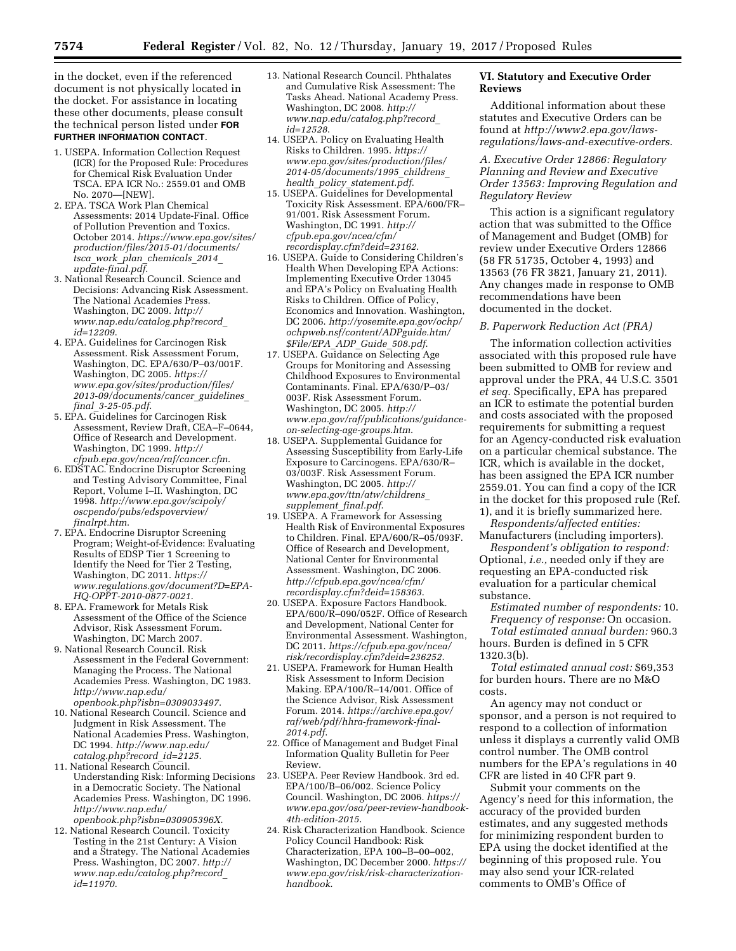in the docket, even if the referenced document is not physically located in the docket. For assistance in locating these other documents, please consult the technical person listed under **FOR FURTHER INFORMATION CONTACT**.

- 1. USEPA. Information Collection Request (ICR) for the Proposed Rule: Procedures for Chemical Risk Evaluation Under TSCA. EPA ICR No.: 2559.01 and OMB No. 2070—[NEW].
- 2. EPA. TSCA Work Plan Chemical Assessments: 2014 Update-Final. Office of Pollution Prevention and Toxics. October 2014. *[https://www.epa.gov/sites/](https://www.epa.gov/sites/production/files/2015-01/documents/tsca_work_plan_chemicals_2014_update-final.pdf)  [production/files/2015-01/documents/](https://www.epa.gov/sites/production/files/2015-01/documents/tsca_work_plan_chemicals_2014_update-final.pdf) tsca*\_*work*\_*plan*\_*[chemicals](https://www.epa.gov/sites/production/files/2015-01/documents/tsca_work_plan_chemicals_2014_update-final.pdf)*\_*2014*\_ *[update-final.pdf](https://www.epa.gov/sites/production/files/2015-01/documents/tsca_work_plan_chemicals_2014_update-final.pdf)*.
- 3. National Research Council. Science and Decisions: Advancing Risk Assessment. The National Academies Press. Washington, DC 2009. *[http://](http://www.nap.edu/catalog.php?record_id=12209)  [www.nap.edu/catalog.php?record](http://www.nap.edu/catalog.php?record_id=12209)*\_ *[id=12209](http://www.nap.edu/catalog.php?record_id=12209)*.
- 4. EPA. Guidelines for Carcinogen Risk Assessment. Risk Assessment Forum, Washington, DC. EPA/630/P–03/001F. Washington, DC 2005. *[https://](https://www.epa.gov/sites/production/files/2013-09/documents/cancer_guidelines_final_3-25-05.pdf) [www.epa.gov/sites/production/files/](https://www.epa.gov/sites/production/files/2013-09/documents/cancer_guidelines_final_3-25-05.pdf) [2013-09/documents/cancer](https://www.epa.gov/sites/production/files/2013-09/documents/cancer_guidelines_final_3-25-05.pdf)*\_*guidelines*\_ *final*\_*[3-25-05.pdf](https://www.epa.gov/sites/production/files/2013-09/documents/cancer_guidelines_final_3-25-05.pdf)*.
- 5. EPA. Guidelines for Carcinogen Risk Assessment, Review Draft, CEA–F–0644, Office of Research and Development. Washington, DC 1999. *[http://](http://cfpub.epa.gov/ncea/raf/cancer.cfm)  [cfpub.epa.gov/ncea/raf/cancer.cfm](http://cfpub.epa.gov/ncea/raf/cancer.cfm)*.
- 6. EDSTAC. Endocrine Disruptor Screening and Testing Advisory Committee, Final Report, Volume I–II. Washington, DC 1998. *[http://www.epa.gov/scipoly/](http://www.epa.gov/scipoly/oscpendo/pubs/edspoverview/finalrpt.htm)  [oscpendo/pubs/edspoverview/](http://www.epa.gov/scipoly/oscpendo/pubs/edspoverview/finalrpt.htm) [finalrpt.htm](http://www.epa.gov/scipoly/oscpendo/pubs/edspoverview/finalrpt.htm)*.
- 7. EPA. Endocrine Disruptor Screening Program; Weight-of-Evidence: Evaluating Results of EDSP Tier 1 Screening to Identify the Need for Tier 2 Testing, Washington, DC 2011. *[https://](https://www.regulations.gov/document?D=EPA-HQ-OPPT-2010-0877-0021) [www.regulations.gov/document?D=EPA-](https://www.regulations.gov/document?D=EPA-HQ-OPPT-2010-0877-0021)[HQ-OPPT-2010-0877-0021](https://www.regulations.gov/document?D=EPA-HQ-OPPT-2010-0877-0021)*.
- 8. EPA. Framework for Metals Risk Assessment of the Office of the Science Advisor, Risk Assessment Forum. Washington, DC March 2007.
- 9. National Research Council. Risk Assessment in the Federal Government: Managing the Process. The National Academies Press. Washington, DC 1983. *[http://www.nap.edu/](http://www.nap.edu/openbook.php?isbn=0309033497) [openbook.php?isbn=0309033497](http://www.nap.edu/openbook.php?isbn=0309033497)*.
- 10. National Research Council. Science and Judgment in Risk Assessment. The National Academies Press. Washington, DC 1994. *[http://www.nap.edu/](http://www.nap.edu/catalog.php?record_id=2125)  [catalog.php?record](http://www.nap.edu/catalog.php?record_id=2125)*\_*id=2125*.
- 11. National Research Council. Understanding Risk: Informing Decisions in a Democratic Society. The National Academies Press. Washington, DC 1996. *[http://www.nap.edu/](http://www.nap.edu/openbook.php?isbn=030905396X) [openbook.php?isbn=030905396X](http://www.nap.edu/openbook.php?isbn=030905396X)*.
- 12. National Research Council. Toxicity Testing in the 21st Century: A Vision and a Strategy. The National Academies Press. Washington, DC 2007. *[http://](http://www.nap.edu/catalog.php?record_id=11970) [www.nap.edu/catalog.php?record](http://www.nap.edu/catalog.php?record_id=11970)*\_ *[id=11970](http://www.nap.edu/catalog.php?record_id=11970)*.
- 13. National Research Council. Phthalates and Cumulative Risk Assessment: The Tasks Ahead. National Academy Press. Washington, DC 2008. *[http://](http://www.nap.edu/catalog.php?record_id=12528)  [www.nap.edu/catalog.php?record](http://www.nap.edu/catalog.php?record_id=12528)*\_ *[id=12528](http://www.nap.edu/catalog.php?record_id=12528)*.
- 14. USEPA. Policy on Evaluating Health Risks to Children. 1995. *[https://](https://www.epa.gov/sites/production/files/2014-05/documents/1995_childrens_health_policy_statement.pdf) [www.epa.gov/sites/production/files/](https://www.epa.gov/sites/production/files/2014-05/documents/1995_childrens_health_policy_statement.pdf) [2014-05/documents/1995](https://www.epa.gov/sites/production/files/2014-05/documents/1995_childrens_health_policy_statement.pdf)*\_*childrens*\_ *health*\_*policy*\_*[statement.pdf](https://www.epa.gov/sites/production/files/2014-05/documents/1995_childrens_health_policy_statement.pdf)*.
- 15. USEPA. Guidelines for Developmental Toxicity Risk Assessment. EPA/600/FR– 91/001. Risk Assessment Forum. Washington, DC 1991. *[http://](http://cfpub.epa.gov/ncea/cfm/recordisplay.cfm?deid=23162)  [cfpub.epa.gov/ncea/cfm/](http://cfpub.epa.gov/ncea/cfm/recordisplay.cfm?deid=23162)  [recordisplay.cfm?deid=23162](http://cfpub.epa.gov/ncea/cfm/recordisplay.cfm?deid=23162)*.
- 16. USEPA. Guide to Considering Children's Health When Developing EPA Actions: Implementing Executive Order 13045 and EPA's Policy on Evaluating Health Risks to Children. Office of Policy, Economics and Innovation. Washington, DC 2006. *[http://yosemite.epa.gov/ochp/](http://yosemite.epa.gov/ochp/ochpweb.nsf/content/ADPguide.htm/$File/EPA_ADP_Guide_508.pdf) [ochpweb.nsf/content/ADPguide.htm/](http://yosemite.epa.gov/ochp/ochpweb.nsf/content/ADPguide.htm/$File/EPA_ADP_Guide_508.pdf)  [\\$File/EPA](http://yosemite.epa.gov/ochp/ochpweb.nsf/content/ADPguide.htm/$File/EPA_ADP_Guide_508.pdf)*\_*ADP*\_*Guide*\_*508.pdf*.
- 17. USEPA. Guidance on Selecting Age Groups for Monitoring and Assessing Childhood Exposures to Environmental Contaminants. Final. EPA/630/P–03/ 003F. Risk Assessment Forum. Washington, DC 2005. *[http://](http://www.epa.gov/raf/publications/guidance-on-selecting-age-groups.htm)  [www.epa.gov/raf/publications/guidance](http://www.epa.gov/raf/publications/guidance-on-selecting-age-groups.htm)[on-selecting-age-groups.htm](http://www.epa.gov/raf/publications/guidance-on-selecting-age-groups.htm)*.
- 18. USEPA. Supplemental Guidance for Assessing Susceptibility from Early-Life Exposure to Carcinogens. EPA/630/R– 03/003F. Risk Assessment Forum. Washington, DC 2005. *[http://](http://www.epa.gov/ttn/atw/childrens_supplement_final.pdf)  [www.epa.gov/ttn/atw/childrens](http://www.epa.gov/ttn/atw/childrens_supplement_final.pdf)*\_ *[supplement](http://www.epa.gov/ttn/atw/childrens_supplement_final.pdf)*\_*final.pdf*.
- 19. USEPA. A Framework for Assessing Health Risk of Environmental Exposures to Children. Final. EPA/600/R–05/093F. Office of Research and Development, National Center for Environmental Assessment. Washington, DC 2006. *[http://cfpub.epa.gov/ncea/cfm/](http://cfpub.epa.gov/ncea/cfm/recordisplay.cfm?deid=158363) [recordisplay.cfm?deid=158363](http://cfpub.epa.gov/ncea/cfm/recordisplay.cfm?deid=158363)*.
- 20. USEPA. Exposure Factors Handbook. EPA/600/R–090/052F. Office of Research and Development, National Center for Environmental Assessment. Washington, DC 2011. *[https://cfpub.epa.gov/ncea/](https://cfpub.epa.gov/ncea/risk/recordisplay.cfm?deid=236252) [risk/recordisplay.cfm?deid=236252](https://cfpub.epa.gov/ncea/risk/recordisplay.cfm?deid=236252)*.
- 21. USEPA. Framework for Human Health Risk Assessment to Inform Decision Making. EPA/100/R–14/001. Office of the Science Advisor, Risk Assessment Forum. 2014. *[https://archive.epa.gov/](https://archive.epa.gov/raf/web/pdf/hhra-framework-final-2014.pdf)  [raf/web/pdf/hhra-framework-final-](https://archive.epa.gov/raf/web/pdf/hhra-framework-final-2014.pdf)[2014.pdf](https://archive.epa.gov/raf/web/pdf/hhra-framework-final-2014.pdf)*.
- 22. Office of Management and Budget Final Information Quality Bulletin for Peer Review.
- 23. USEPA. Peer Review Handbook. 3rd ed. EPA/100/B–06/002. Science Policy Council. Washington, DC 2006. *[https://](https://www.epa.gov/osa/peer-review-handbook-4th-edition-2015) [www.epa.gov/osa/peer-review-handbook-](https://www.epa.gov/osa/peer-review-handbook-4th-edition-2015)[4th-edition-2015](https://www.epa.gov/osa/peer-review-handbook-4th-edition-2015)*.
- 24. Risk Characterization Handbook. Science Policy Council Handbook: Risk Characterization, EPA 100–B–00–002, Washington, DC December 2000. *[https://](https://www.epa.gov/risk/risk-characterization-handbook)  [www.epa.gov/risk/risk-characterization](https://www.epa.gov/risk/risk-characterization-handbook)[handbook](https://www.epa.gov/risk/risk-characterization-handbook)*.

# **VI. Statutory and Executive Order Reviews**

Additional information about these statutes and Executive Orders can be found at *[http://www2.epa.gov/laws](http://www2.epa.gov/laws-regulations/laws-and-executive-orders)[regulations/laws-and-executive-orders](http://www2.epa.gov/laws-regulations/laws-and-executive-orders)*.

*A. Executive Order 12866: Regulatory Planning and Review and Executive Order 13563: Improving Regulation and Regulatory Review* 

This action is a significant regulatory action that was submitted to the Office of Management and Budget (OMB) for review under Executive Orders 12866 (58 FR 51735, October 4, 1993) and 13563 (76 FR 3821, January 21, 2011). Any changes made in response to OMB recommendations have been documented in the docket.

# *B. Paperwork Reduction Act (PRA)*

The information collection activities associated with this proposed rule have been submitted to OMB for review and approval under the PRA, 44 U.S.C. 3501 *et seq.* Specifically, EPA has prepared an ICR to estimate the potential burden and costs associated with the proposed requirements for submitting a request for an Agency-conducted risk evaluation on a particular chemical substance. The ICR, which is available in the docket, has been assigned the EPA ICR number 2559.01. You can find a copy of the ICR in the docket for this proposed rule (Ref. 1), and it is briefly summarized here. *Respondents/affected entities:* 

Manufacturers (including importers).

*Respondent's obligation to respond:*  Optional, *i.e.,* needed only if they are requesting an EPA-conducted risk evaluation for a particular chemical substance.

*Estimated number of respondents:* 10. *Frequency of response:* On occasion. *Total estimated annual burden:* 960.3 hours. Burden is defined in 5 CFR 1320.3(b).

*Total estimated annual cost:* \$69,353 for burden hours. There are no M&O costs.

An agency may not conduct or sponsor, and a person is not required to respond to a collection of information unless it displays a currently valid OMB control number. The OMB control numbers for the EPA's regulations in 40 CFR are listed in 40 CFR part 9.

Submit your comments on the Agency's need for this information, the accuracy of the provided burden estimates, and any suggested methods for minimizing respondent burden to EPA using the docket identified at the beginning of this proposed rule. You may also send your ICR-related comments to OMB's Office of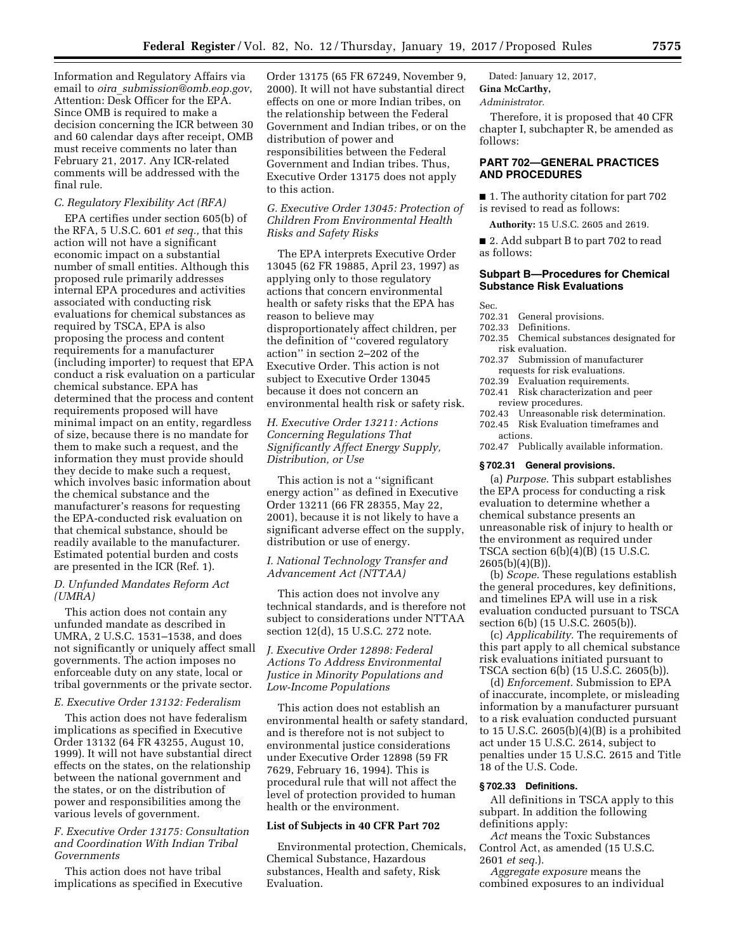Information and Regulatory Affairs via email to *oira*\_*[submission@omb.eop.gov](mailto:oira_submission@omb.eop.gov)*, Attention: Desk Officer for the EPA. Since OMB is required to make a decision concerning the ICR between 30 and 60 calendar days after receipt, OMB must receive comments no later than February 21, 2017. Any ICR-related comments will be addressed with the final rule.

# *C. Regulatory Flexibility Act (RFA)*

EPA certifies under section 605(b) of the RFA, 5 U.S.C. 601 *et seq.,* that this action will not have a significant economic impact on a substantial number of small entities. Although this proposed rule primarily addresses internal EPA procedures and activities associated with conducting risk evaluations for chemical substances as required by TSCA, EPA is also proposing the process and content requirements for a manufacturer (including importer) to request that EPA conduct a risk evaluation on a particular chemical substance. EPA has determined that the process and content requirements proposed will have minimal impact on an entity, regardless of size, because there is no mandate for them to make such a request, and the information they must provide should they decide to make such a request, which involves basic information about the chemical substance and the manufacturer's reasons for requesting the EPA-conducted risk evaluation on that chemical substance, should be readily available to the manufacturer. Estimated potential burden and costs are presented in the ICR (Ref. 1).

#### *D. Unfunded Mandates Reform Act (UMRA)*

This action does not contain any unfunded mandate as described in UMRA, 2 U.S.C. 1531–1538, and does not significantly or uniquely affect small governments. The action imposes no enforceable duty on any state, local or tribal governments or the private sector.

# *E. Executive Order 13132: Federalism*

This action does not have federalism implications as specified in Executive Order 13132 (64 FR 43255, August 10, 1999). It will not have substantial direct effects on the states, on the relationship between the national government and the states, or on the distribution of power and responsibilities among the various levels of government.

# *F. Executive Order 13175: Consultation and Coordination With Indian Tribal Governments*

This action does not have tribal implications as specified in Executive Order 13175 (65 FR 67249, November 9, 2000). It will not have substantial direct effects on one or more Indian tribes, on the relationship between the Federal Government and Indian tribes, or on the distribution of power and responsibilities between the Federal Government and Indian tribes. Thus, Executive Order 13175 does not apply to this action.

# *G. Executive Order 13045: Protection of Children From Environmental Health Risks and Safety Risks*

The EPA interprets Executive Order 13045 (62 FR 19885, April 23, 1997) as applying only to those regulatory actions that concern environmental health or safety risks that the EPA has reason to believe may disproportionately affect children, per the definition of ''covered regulatory action'' in section 2–202 of the Executive Order. This action is not subject to Executive Order 13045 because it does not concern an environmental health risk or safety risk.

# *H. Executive Order 13211: Actions Concerning Regulations That Significantly Affect Energy Supply, Distribution, or Use*

This action is not a ''significant energy action'' as defined in Executive Order 13211 (66 FR 28355, May 22, 2001), because it is not likely to have a significant adverse effect on the supply, distribution or use of energy.

# *I. National Technology Transfer and Advancement Act (NTTAA)*

This action does not involve any technical standards, and is therefore not subject to considerations under NTTAA section 12(d), 15 U.S.C. 272 note.

# *J. Executive Order 12898: Federal Actions To Address Environmental Justice in Minority Populations and Low-Income Populations*

This action does not establish an environmental health or safety standard, and is therefore not is not subject to environmental justice considerations under Executive Order 12898 (59 FR 7629, February 16, 1994). This is procedural rule that will not affect the level of protection provided to human health or the environment.

### **List of Subjects in 40 CFR Part 702**

Environmental protection, Chemicals, Chemical Substance, Hazardous substances, Health and safety, Risk Evaluation.

Dated: January 12, 2017, **Gina McCarthy,** 

# *Administrator.*

Therefore, it is proposed that 40 CFR chapter I, subchapter R, be amended as follows:

### **PART 702—GENERAL PRACTICES AND PROCEDURES**

■ 1. The authority citation for part 702 is revised to read as follows:

**Authority:** 15 U.S.C. 2605 and 2619.

■ 2. Add subpart B to part 702 to read as follows:

### **Subpart B—Procedures for Chemical Substance Risk Evaluations**

- Sec.<br>702.31 General provisions.
- 702.33 Definitions.
- 702.35 Chemical substances designated for risk evaluation.
- 702.37 Submission of manufacturer
- requests for risk evaluations.
- 702.39 Evaluation requirements.
- 702.41 Risk characterization and peer review procedures.
- 702.43 Unreasonable risk determination.
- 702.45 Risk Evaluation timeframes and
- actions.

702.47 Publically available information.

#### **§ 702.31 General provisions.**

(a) *Purpose.* This subpart establishes the EPA process for conducting a risk evaluation to determine whether a chemical substance presents an unreasonable risk of injury to health or the environment as required under TSCA section 6(b)(4)(B) (15 U.S.C. 2605(b)(4)(B)).

(b) *Scope.* These regulations establish the general procedures, key definitions, and timelines EPA will use in a risk evaluation conducted pursuant to TSCA section 6(b) (15 U.S.C. 2605(b)).

(c) *Applicability.* The requirements of this part apply to all chemical substance risk evaluations initiated pursuant to TSCA section 6(b) (15 U.S.C. 2605(b)).

(d) *Enforcement.* Submission to EPA of inaccurate, incomplete, or misleading information by a manufacturer pursuant to a risk evaluation conducted pursuant to 15 U.S.C. 2605 $(b)(4)(B)$  is a prohibited act under 15 U.S.C. 2614, subject to penalties under 15 U.S.C. 2615 and Title 18 of the U.S. Code.

## **§ 702.33 Definitions.**

All definitions in TSCA apply to this subpart. In addition the following definitions apply:

*Act* means the Toxic Substances Control Act, as amended (15 U.S.C. 2601 *et seq.*).

*Aggregate exposure* means the combined exposures to an individual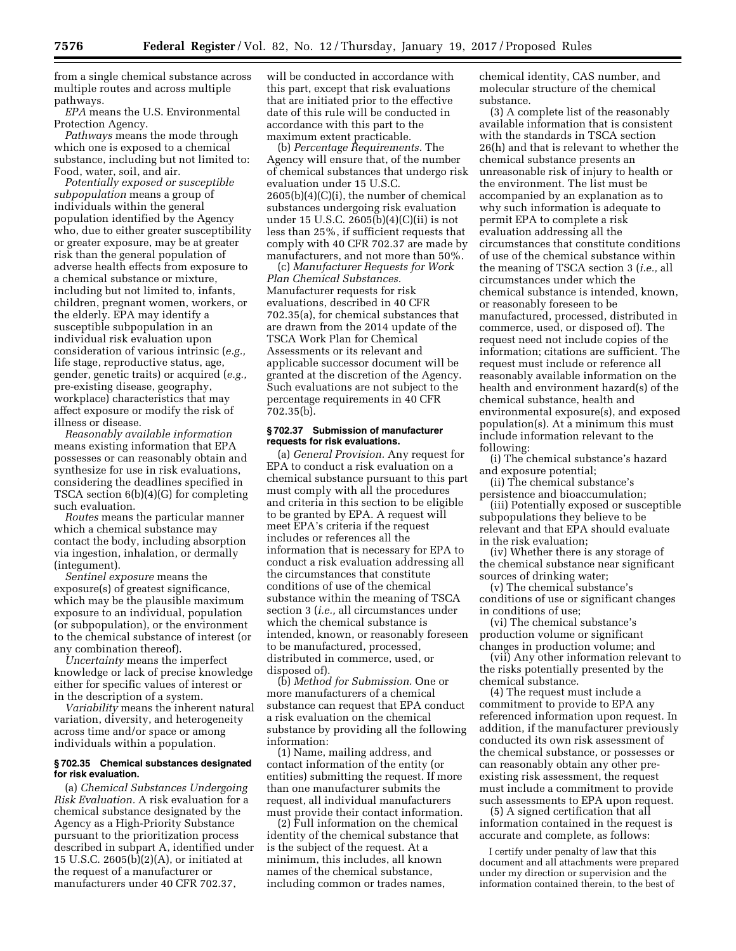from a single chemical substance across multiple routes and across multiple pathways.

*EPA* means the U.S. Environmental Protection Agency.

*Pathways* means the mode through which one is exposed to a chemical substance, including but not limited to: Food, water, soil, and air.

*Potentially exposed or susceptible subpopulation* means a group of individuals within the general population identified by the Agency who, due to either greater susceptibility or greater exposure, may be at greater risk than the general population of adverse health effects from exposure to a chemical substance or mixture, including but not limited to, infants, children, pregnant women, workers, or the elderly. EPA may identify a susceptible subpopulation in an individual risk evaluation upon consideration of various intrinsic (*e.g.,*  life stage, reproductive status, age, gender, genetic traits) or acquired (*e.g.,*  pre-existing disease, geography, workplace) characteristics that may affect exposure or modify the risk of illness or disease.

*Reasonably available information*  means existing information that EPA possesses or can reasonably obtain and synthesize for use in risk evaluations, considering the deadlines specified in TSCA section 6(b)(4)(G) for completing such evaluation.

*Routes* means the particular manner which a chemical substance may contact the body, including absorption via ingestion, inhalation, or dermally (integument).

*Sentinel exposure* means the exposure(s) of greatest significance, which may be the plausible maximum exposure to an individual, population (or subpopulation), or the environment to the chemical substance of interest (or any combination thereof).

*Uncertainty* means the imperfect knowledge or lack of precise knowledge either for specific values of interest or in the description of a system.

*Variability* means the inherent natural variation, diversity, and heterogeneity across time and/or space or among individuals within a population.

#### **§ 702.35 Chemical substances designated for risk evaluation.**

(a) *Chemical Substances Undergoing Risk Evaluation.* A risk evaluation for a chemical substance designated by the Agency as a High-Priority Substance pursuant to the prioritization process described in subpart A, identified under 15 U.S.C. 2605(b)(2)(A), or initiated at the request of a manufacturer or manufacturers under 40 CFR 702.37,

will be conducted in accordance with this part, except that risk evaluations that are initiated prior to the effective date of this rule will be conducted in accordance with this part to the maximum extent practicable.

(b) *Percentage Requirements.* The Agency will ensure that, of the number of chemical substances that undergo risk evaluation under 15 U.S.C.  $2605(b)(4)(C)(i)$ , the number of chemical substances undergoing risk evaluation under 15 U.S.C. 2605(b)(4)(C)(ii) is not less than 25%, if sufficient requests that comply with 40 CFR 702.37 are made by manufacturers, and not more than 50%.

(c) *Manufacturer Requests for Work Plan Chemical Substances.*  Manufacturer requests for risk evaluations, described in 40 CFR 702.35(a), for chemical substances that are drawn from the 2014 update of the TSCA Work Plan for Chemical Assessments or its relevant and applicable successor document will be granted at the discretion of the Agency. Such evaluations are not subject to the percentage requirements in 40 CFR 702.35(b).

### **§ 702.37 Submission of manufacturer requests for risk evaluations.**

(a) *General Provision.* Any request for EPA to conduct a risk evaluation on a chemical substance pursuant to this part must comply with all the procedures and criteria in this section to be eligible to be granted by EPA. A request will meet EPA's criteria if the request includes or references all the information that is necessary for EPA to conduct a risk evaluation addressing all the circumstances that constitute conditions of use of the chemical substance within the meaning of TSCA section 3 (*i.e.,* all circumstances under which the chemical substance is intended, known, or reasonably foreseen to be manufactured, processed, distributed in commerce, used, or disposed of).

(b) *Method for Submission.* One or more manufacturers of a chemical substance can request that EPA conduct a risk evaluation on the chemical substance by providing all the following information:

(1) Name, mailing address, and contact information of the entity (or entities) submitting the request. If more than one manufacturer submits the request, all individual manufacturers must provide their contact information.

(2) Full information on the chemical identity of the chemical substance that is the subject of the request. At a minimum, this includes, all known names of the chemical substance, including common or trades names,

chemical identity, CAS number, and molecular structure of the chemical substance.

(3) A complete list of the reasonably available information that is consistent with the standards in TSCA section 26(h) and that is relevant to whether the chemical substance presents an unreasonable risk of injury to health or the environment. The list must be accompanied by an explanation as to why such information is adequate to permit EPA to complete a risk evaluation addressing all the circumstances that constitute conditions of use of the chemical substance within the meaning of TSCA section 3 (*i.e.,* all circumstances under which the chemical substance is intended, known, or reasonably foreseen to be manufactured, processed, distributed in commerce, used, or disposed of). The request need not include copies of the information; citations are sufficient. The request must include or reference all reasonably available information on the health and environment hazard(s) of the chemical substance, health and environmental exposure(s), and exposed population(s). At a minimum this must include information relevant to the following:

(i) The chemical substance's hazard and exposure potential;

(ii) The chemical substance's persistence and bioaccumulation;

(iii) Potentially exposed or susceptible subpopulations they believe to be relevant and that EPA should evaluate in the risk evaluation;

(iv) Whether there is any storage of the chemical substance near significant sources of drinking water;

(v) The chemical substance's conditions of use or significant changes in conditions of use;

(vi) The chemical substance's production volume or significant changes in production volume; and

(vii) Any other information relevant to the risks potentially presented by the chemical substance.

(4) The request must include a commitment to provide to EPA any referenced information upon request. In addition, if the manufacturer previously conducted its own risk assessment of the chemical substance, or possesses or can reasonably obtain any other preexisting risk assessment, the request must include a commitment to provide such assessments to EPA upon request.

(5) A signed certification that all information contained in the request is accurate and complete, as follows:

I certify under penalty of law that this document and all attachments were prepared under my direction or supervision and the information contained therein, to the best of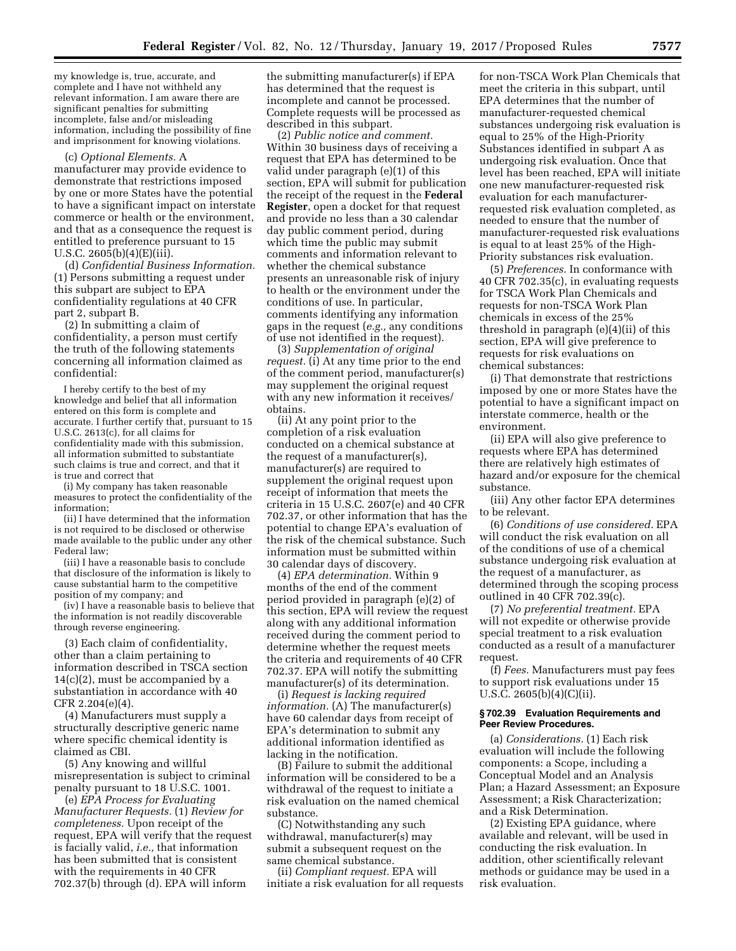my knowledge is, true, accurate, and complete and I have not withheld any relevant information. I am aware there are significant penalties for submitting incomplete, false and/or misleading information, including the possibility of fine and imprisonment for knowing violations.

(c) *Optional Elements.* A manufacturer may provide evidence to demonstrate that restrictions imposed by one or more States have the potential to have a significant impact on interstate commerce or health or the environment, and that as a consequence the request is entitled to preference pursuant to 15 U.S.C. 2605(b)(4)(E)(iii).

(d) *Confidential Business Information.*  (1) Persons submitting a request under this subpart are subject to EPA confidentiality regulations at 40 CFR part 2, subpart B.

(2) In submitting a claim of confidentiality, a person must certify the truth of the following statements concerning all information claimed as confidential:

I hereby certify to the best of my knowledge and belief that all information entered on this form is complete and accurate. I further certify that, pursuant to 15 U.S.C. 2613(c), for all claims for confidentiality made with this submission, all information submitted to substantiate such claims is true and correct, and that it is true and correct that

(i) My company has taken reasonable measures to protect the confidentiality of the information;

(ii) I have determined that the information is not required to be disclosed or otherwise made available to the public under any other Federal law;

(iii) I have a reasonable basis to conclude that disclosure of the information is likely to cause substantial harm to the competitive position of my company; and

(iv) I have a reasonable basis to believe that the information is not readily discoverable through reverse engineering.

(3) Each claim of confidentiality, other than a claim pertaining to information described in TSCA section 14(c)(2), must be accompanied by a substantiation in accordance with 40 CFR 2.204(e)(4).

(4) Manufacturers must supply a structurally descriptive generic name where specific chemical identity is claimed as CBI.

(5) Any knowing and willful misrepresentation is subject to criminal penalty pursuant to 18 U.S.C. 1001.

(e) *EPA Process for Evaluating Manufacturer Requests.* (1) *Review for completeness.* Upon receipt of the request, EPA will verify that the request is facially valid, *i.e.,* that information has been submitted that is consistent with the requirements in 40 CFR 702.37(b) through (d). EPA will inform

the submitting manufacturer(s) if EPA has determined that the request is incomplete and cannot be processed. Complete requests will be processed as described in this subpart.

(2) *Public notice and comment.*  Within 30 business days of receiving a request that EPA has determined to be valid under paragraph (e)(1) of this section, EPA will submit for publication the receipt of the request in the **Federal Register**, open a docket for that request and provide no less than a 30 calendar day public comment period, during which time the public may submit comments and information relevant to whether the chemical substance presents an unreasonable risk of injury to health or the environment under the conditions of use. In particular, comments identifying any information gaps in the request (*e.g.,* any conditions of use not identified in the request).

(3) *Supplementation of original request.* (i) At any time prior to the end of the comment period, manufacturer(s) may supplement the original request with any new information it receives/ obtains.

(ii) At any point prior to the completion of a risk evaluation conducted on a chemical substance at the request of a manufacturer(s), manufacturer(s) are required to supplement the original request upon receipt of information that meets the criteria in 15 U.S.C. 2607(e) and 40 CFR 702.37, or other information that has the potential to change EPA's evaluation of the risk of the chemical substance. Such information must be submitted within 30 calendar days of discovery.

(4) *EPA determination.* Within 9 months of the end of the comment period provided in paragraph (e)(2) of this section, EPA will review the request along with any additional information received during the comment period to determine whether the request meets the criteria and requirements of 40 CFR 702.37. EPA will notify the submitting manufacturer(s) of its determination.

(i) *Request is lacking required information.* (A) The manufacturer(s) have 60 calendar days from receipt of EPA's determination to submit any additional information identified as lacking in the notification.

(B) Failure to submit the additional information will be considered to be a withdrawal of the request to initiate a risk evaluation on the named chemical substance.

(C) Notwithstanding any such withdrawal, manufacturer(s) may submit a subsequent request on the same chemical substance.

(ii) *Compliant request.* EPA will initiate a risk evaluation for all requests

for non-TSCA Work Plan Chemicals that meet the criteria in this subpart, until EPA determines that the number of manufacturer-requested chemical substances undergoing risk evaluation is equal to 25% of the High-Priority Substances identified in subpart A as undergoing risk evaluation. Once that level has been reached, EPA will initiate one new manufacturer-requested risk evaluation for each manufacturerrequested risk evaluation completed, as needed to ensure that the number of manufacturer-requested risk evaluations is equal to at least 25% of the High-Priority substances risk evaluation.

(5) *Preferences.* In conformance with 40 CFR 702.35(c), in evaluating requests for TSCA Work Plan Chemicals and requests for non-TSCA Work Plan chemicals in excess of the 25% threshold in paragraph (e)(4)(ii) of this section, EPA will give preference to requests for risk evaluations on chemical substances:

(i) That demonstrate that restrictions imposed by one or more States have the potential to have a significant impact on interstate commerce, health or the environment.

(ii) EPA will also give preference to requests where EPA has determined there are relatively high estimates of hazard and/or exposure for the chemical substance.

(iii) Any other factor EPA determines to be relevant.

(6) *Conditions of use considered.* EPA will conduct the risk evaluation on all of the conditions of use of a chemical substance undergoing risk evaluation at the request of a manufacturer, as determined through the scoping process outlined in 40 CFR 702.39(c).

(7) *No preferential treatment.* EPA will not expedite or otherwise provide special treatment to a risk evaluation conducted as a result of a manufacturer request.

(f) *Fees.* Manufacturers must pay fees to support risk evaluations under 15 U.S.C. 2605(b)(4)(C)(ii).

# **§ 702.39 Evaluation Requirements and Peer Review Procedures.**

(a) *Considerations.* (1) Each risk evaluation will include the following components: a Scope, including a Conceptual Model and an Analysis Plan; a Hazard Assessment; an Exposure Assessment; a Risk Characterization; and a Risk Determination.

(2) Existing EPA guidance, where available and relevant, will be used in conducting the risk evaluation. In addition, other scientifically relevant methods or guidance may be used in a risk evaluation.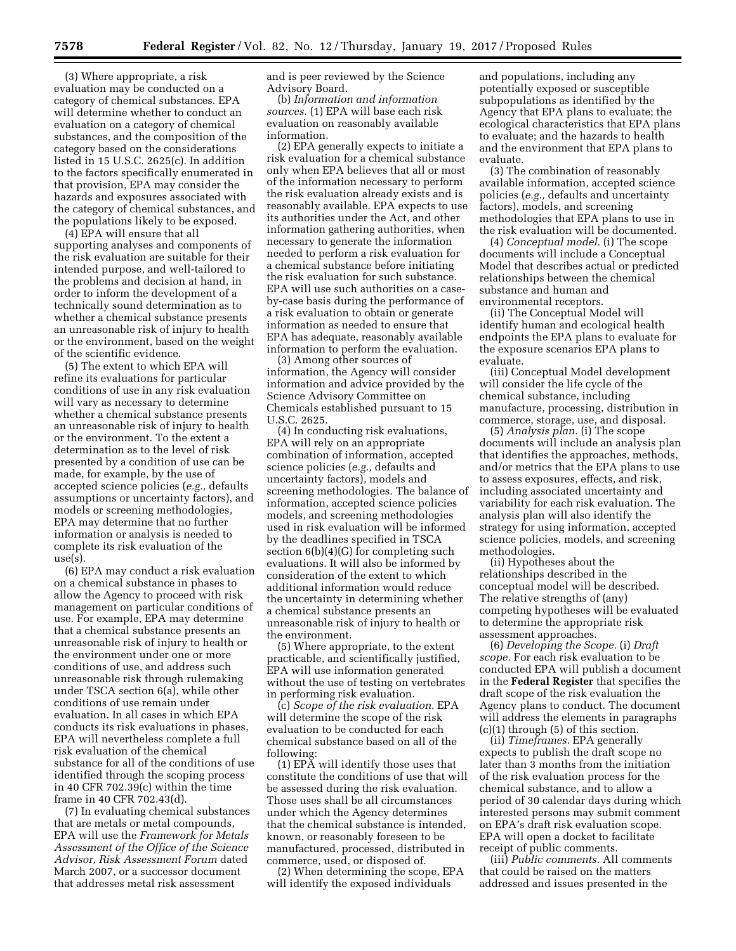(3) Where appropriate, a risk evaluation may be conducted on a category of chemical substances. EPA will determine whether to conduct an evaluation on a category of chemical substances, and the composition of the category based on the considerations listed in 15 U.S.C. 2625(c). In addition to the factors specifically enumerated in that provision, EPA may consider the hazards and exposures associated with the category of chemical substances, and the populations likely to be exposed.

(4) EPA will ensure that all supporting analyses and components of the risk evaluation are suitable for their intended purpose, and well-tailored to the problems and decision at hand, in order to inform the development of a technically sound determination as to whether a chemical substance presents an unreasonable risk of injury to health or the environment, based on the weight of the scientific evidence.

(5) The extent to which EPA will refine its evaluations for particular conditions of use in any risk evaluation will vary as necessary to determine whether a chemical substance presents an unreasonable risk of injury to health or the environment. To the extent a determination as to the level of risk presented by a condition of use can be made, for example, by the use of accepted science policies (*e.g.,* defaults assumptions or uncertainty factors), and models or screening methodologies, EPA may determine that no further information or analysis is needed to complete its risk evaluation of the use(s).

(6) EPA may conduct a risk evaluation on a chemical substance in phases to allow the Agency to proceed with risk management on particular conditions of use. For example, EPA may determine that a chemical substance presents an unreasonable risk of injury to health or the environment under one or more conditions of use, and address such unreasonable risk through rulemaking under TSCA section 6(a), while other conditions of use remain under evaluation. In all cases in which EPA conducts its risk evaluations in phases, EPA will nevertheless complete a full risk evaluation of the chemical substance for all of the conditions of use identified through the scoping process in 40 CFR 702.39(c) within the time frame in 40 CFR 702.43(d).

(7) In evaluating chemical substances that are metals or metal compounds, EPA will use the *Framework for Metals Assessment of the Office of the Science Advisor, Risk Assessment Forum* dated March 2007, or a successor document that addresses metal risk assessment

and is peer reviewed by the Science Advisory Board.

(b) *Information and information sources.* (1) EPA will base each risk evaluation on reasonably available information.

(2) EPA generally expects to initiate a risk evaluation for a chemical substance only when EPA believes that all or most of the information necessary to perform the risk evaluation already exists and is reasonably available. EPA expects to use its authorities under the Act, and other information gathering authorities, when necessary to generate the information needed to perform a risk evaluation for a chemical substance before initiating the risk evaluation for such substance. EPA will use such authorities on a caseby-case basis during the performance of a risk evaluation to obtain or generate information as needed to ensure that EPA has adequate, reasonably available information to perform the evaluation.

(3) Among other sources of information, the Agency will consider information and advice provided by the Science Advisory Committee on Chemicals established pursuant to 15 U.S.C. 2625.

(4) In conducting risk evaluations, EPA will rely on an appropriate combination of information, accepted science policies (*e.g.,* defaults and uncertainty factors), models and screening methodologies. The balance of information, accepted science policies models, and screening methodologies used in risk evaluation will be informed by the deadlines specified in TSCA section 6(b)(4)(G) for completing such evaluations. It will also be informed by consideration of the extent to which additional information would reduce the uncertainty in determining whether a chemical substance presents an unreasonable risk of injury to health or the environment.

(5) Where appropriate, to the extent practicable, and scientifically justified, EPA will use information generated without the use of testing on vertebrates in performing risk evaluation.

(c) *Scope of the risk evaluation.* EPA will determine the scope of the risk evaluation to be conducted for each chemical substance based on all of the following:

(1) EP $\bar{A}$  will identify those uses that constitute the conditions of use that will be assessed during the risk evaluation. Those uses shall be all circumstances under which the Agency determines that the chemical substance is intended, known, or reasonably foreseen to be manufactured, processed, distributed in commerce, used, or disposed of.

(2) When determining the scope, EPA will identify the exposed individuals

and populations, including any potentially exposed or susceptible subpopulations as identified by the Agency that EPA plans to evaluate; the ecological characteristics that EPA plans to evaluate; and the hazards to health and the environment that EPA plans to evaluate.

(3) The combination of reasonably available information, accepted science policies (*e.g.,* defaults and uncertainty factors), models, and screening methodologies that EPA plans to use in the risk evaluation will be documented.

(4) *Conceptual model.* (i) The scope documents will include a Conceptual Model that describes actual or predicted relationships between the chemical substance and human and environmental receptors.

(ii) The Conceptual Model will identify human and ecological health endpoints the EPA plans to evaluate for the exposure scenarios EPA plans to evaluate.

(iii) Conceptual Model development will consider the life cycle of the chemical substance, including manufacture, processing, distribution in commerce, storage, use, and disposal.

(5) *Analysis plan.* (i) The scope documents will include an analysis plan that identifies the approaches, methods, and/or metrics that the EPA plans to use to assess exposures, effects, and risk, including associated uncertainty and variability for each risk evaluation. The analysis plan will also identify the strategy for using information, accepted science policies, models, and screening methodologies.

(ii) Hypotheses about the relationships described in the conceptual model will be described. The relative strengths of (any) competing hypotheses will be evaluated to determine the appropriate risk assessment approaches.

(6) *Developing the Scope.* (i) *Draft scope.* For each risk evaluation to be conducted EPA will publish a document in the **Federal Register** that specifies the draft scope of the risk evaluation the Agency plans to conduct. The document will address the elements in paragraphs  $(c)(1)$  through  $(5)$  of this section.

(ii) *Timeframes.* EPA generally expects to publish the draft scope no later than 3 months from the initiation of the risk evaluation process for the chemical substance, and to allow a period of 30 calendar days during which interested persons may submit comment on EPA's draft risk evaluation scope. EPA will open a docket to facilitate receipt of public comments.

(iii) *Public comments.* All comments that could be raised on the matters addressed and issues presented in the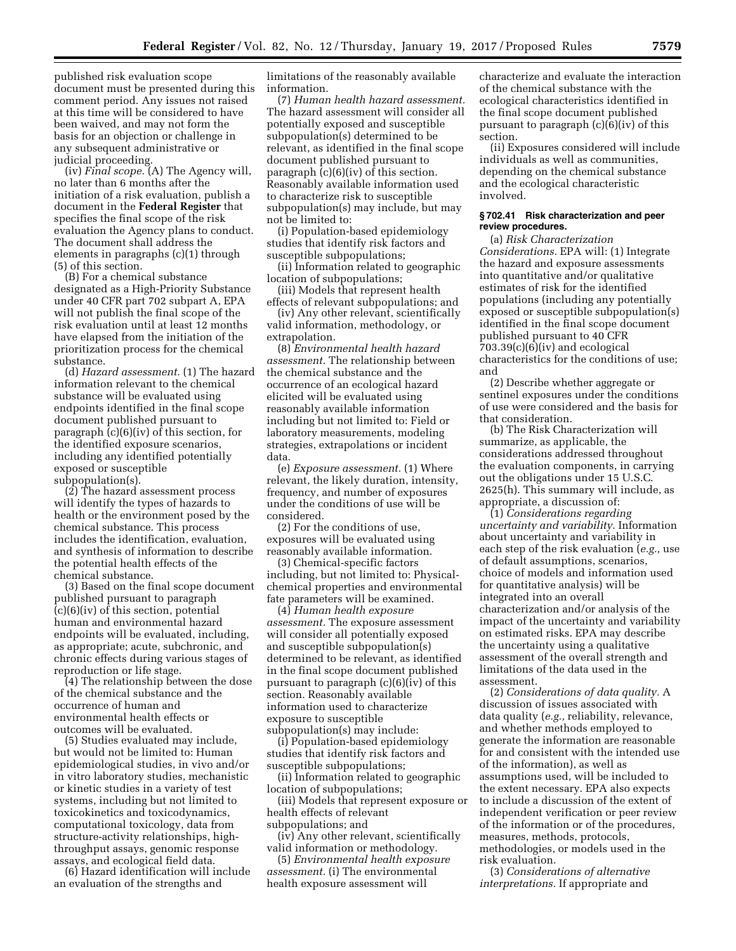published risk evaluation scope document must be presented during this comment period. Any issues not raised at this time will be considered to have been waived, and may not form the basis for an objection or challenge in any subsequent administrative or judicial proceeding.

(iv) *Final scope.* (A) The Agency will, no later than 6 months after the initiation of a risk evaluation, publish a document in the **Federal Register** that specifies the final scope of the risk evaluation the Agency plans to conduct. The document shall address the elements in paragraphs (c)(1) through (5) of this section.

(B) For a chemical substance designated as a High-Priority Substance under 40 CFR part 702 subpart A, EPA will not publish the final scope of the risk evaluation until at least 12 months have elapsed from the initiation of the prioritization process for the chemical substance.

(d) *Hazard assessment.* (1) The hazard information relevant to the chemical substance will be evaluated using endpoints identified in the final scope document published pursuant to paragraph (c)(6)(iv) of this section, for the identified exposure scenarios, including any identified potentially exposed or susceptible subpopulation(s).

(2) The hazard assessment process will identify the types of hazards to health or the environment posed by the chemical substance. This process includes the identification, evaluation, and synthesis of information to describe the potential health effects of the chemical substance.

(3) Based on the final scope document published pursuant to paragraph (c)(6)(iv) of this section, potential human and environmental hazard endpoints will be evaluated, including, as appropriate; acute, subchronic, and chronic effects during various stages of reproduction or life stage.

(4) The relationship between the dose of the chemical substance and the occurrence of human and environmental health effects or outcomes will be evaluated.

(5) Studies evaluated may include, but would not be limited to: Human epidemiological studies, in vivo and/or in vitro laboratory studies, mechanistic or kinetic studies in a variety of test systems, including but not limited to toxicokinetics and toxicodynamics, computational toxicology, data from structure-activity relationships, highthroughput assays, genomic response assays, and ecological field data.

(6) Hazard identification will include an evaluation of the strengths and

limitations of the reasonably available information.

(7) *Human health hazard assessment.*  The hazard assessment will consider all potentially exposed and susceptible subpopulation(s) determined to be relevant, as identified in the final scope document published pursuant to paragraph (c)(6)(iv) of this section. Reasonably available information used to characterize risk to susceptible subpopulation(s) may include, but may not be limited to:

(i) Population-based epidemiology studies that identify risk factors and susceptible subpopulations;

(ii) Information related to geographic location of subpopulations;

(iii) Models that represent health effects of relevant subpopulations; and

(iv) Any other relevant, scientifically valid information, methodology, or extrapolation.

(8) *Environmental health hazard assessment.* The relationship between the chemical substance and the occurrence of an ecological hazard elicited will be evaluated using reasonably available information including but not limited to: Field or laboratory measurements, modeling strategies, extrapolations or incident data.

(e) *Exposure assessment.* (1) Where relevant, the likely duration, intensity, frequency, and number of exposures under the conditions of use will be considered.

(2) For the conditions of use, exposures will be evaluated using reasonably available information.

(3) Chemical-specific factors including, but not limited to: Physicalchemical properties and environmental fate parameters will be examined.

(4) *Human health exposure assessment.* The exposure assessment will consider all potentially exposed and susceptible subpopulation(s) determined to be relevant, as identified in the final scope document published pursuant to paragraph (c)(6)(iv) of this section. Reasonably available information used to characterize exposure to susceptible subpopulation(s) may include:

(i) Population-based epidemiology studies that identify risk factors and susceptible subpopulations;

(ii) Information related to geographic location of subpopulations;

(iii) Models that represent exposure or health effects of relevant subpopulations; and

(iv) Any other relevant, scientifically valid information or methodology.

(5) *Environmental health exposure assessment.* (i) The environmental health exposure assessment will

characterize and evaluate the interaction of the chemical substance with the ecological characteristics identified in the final scope document published pursuant to paragraph (c)(6)(iv) of this section.

(ii) Exposures considered will include individuals as well as communities, depending on the chemical substance and the ecological characteristic involved.

### **§ 702.41 Risk characterization and peer review procedures.**

(a) *Risk Characterization Considerations.* EPA will: (1) Integrate the hazard and exposure assessments into quantitative and/or qualitative estimates of risk for the identified populations (including any potentially exposed or susceptible subpopulation(s) identified in the final scope document published pursuant to 40 CFR  $703.39(c)(6)(iv)$  and ecological characteristics for the conditions of use; and

(2) Describe whether aggregate or sentinel exposures under the conditions of use were considered and the basis for that consideration.

(b) The Risk Characterization will summarize, as applicable, the considerations addressed throughout the evaluation components, in carrying out the obligations under 15 U.S.C. 2625(h). This summary will include, as appropriate, a discussion of:

(1) *Considerations regarding uncertainty and variability.* Information about uncertainty and variability in each step of the risk evaluation (*e.g.,* use of default assumptions, scenarios, choice of models and information used for quantitative analysis) will be integrated into an overall characterization and/or analysis of the impact of the uncertainty and variability on estimated risks. EPA may describe the uncertainty using a qualitative assessment of the overall strength and limitations of the data used in the assessment.

(2) *Considerations of data quality.* A discussion of issues associated with data quality (*e.g.,* reliability, relevance, and whether methods employed to generate the information are reasonable for and consistent with the intended use of the information), as well as assumptions used, will be included to the extent necessary. EPA also expects to include a discussion of the extent of independent verification or peer review of the information or of the procedures, measures, methods, protocols, methodologies, or models used in the risk evaluation.

(3) *Considerations of alternative interpretations.* If appropriate and